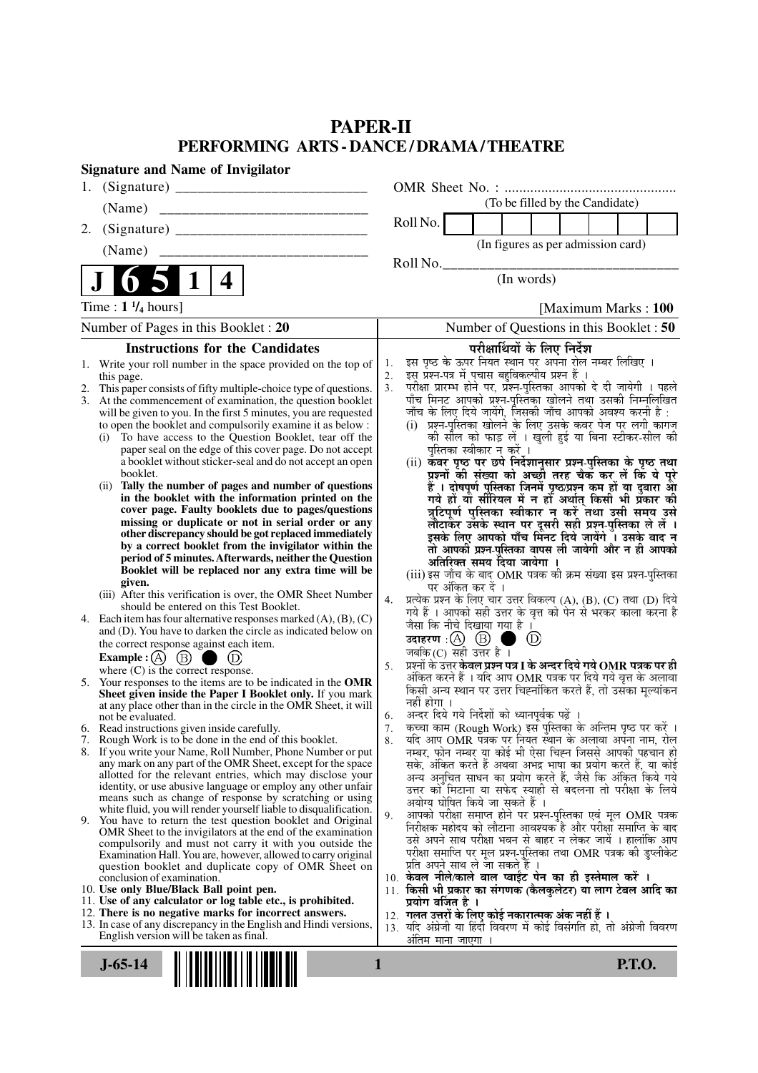# **PAPER-II PERFORMING ARTS - DANCE / DRAMA / THEATRE**

| <b>Signature and Name of Invigilator</b>                                                                                                 |                                                                                                                                   |
|------------------------------------------------------------------------------------------------------------------------------------------|-----------------------------------------------------------------------------------------------------------------------------------|
| 1.                                                                                                                                       |                                                                                                                                   |
| (Name)                                                                                                                                   | (To be filled by the Candidate)                                                                                                   |
| 2.                                                                                                                                       | Roll No.                                                                                                                          |
| (Name)                                                                                                                                   | (In figures as per admission card)                                                                                                |
|                                                                                                                                          | Roll No.                                                                                                                          |
| 4<br>$\mathbf 1$                                                                                                                         | (In words)                                                                                                                        |
| Time : $1 \frac{1}{4}$ hours]                                                                                                            | [Maximum Marks: 100]                                                                                                              |
| Number of Pages in this Booklet : 20                                                                                                     | Number of Questions in this Booklet: 50                                                                                           |
| <b>Instructions for the Candidates</b>                                                                                                   | परीक्षार्थियों के लिए निर्देश                                                                                                     |
| Write your roll number in the space provided on the top of                                                                               | इस पृष्ठ के ऊपर नियत स्थान पर अपना रोल नम्बर लिखिए ।<br>1.                                                                        |
| this page.                                                                                                                               | इस प्रश्न-पत्र में पचास बहुविकल्पीय प्रश्न हैं।<br>2.<br>परीक्षा प्रारम्भ होने पर, प्रश्न-पुस्तिका आपको दे दी जायेगी । पहले<br>3. |
| This paper consists of fifty multiple-choice type of questions.<br>2.<br>3. At the commencement of examination, the question booklet     | पाँच मिनट आपको प्रश्न-पुस्तिका खोलने तथा उसकी निम्नलिखित                                                                          |
| will be given to you. In the first 5 minutes, you are requested                                                                          | जाँच के लिए दिये जायेंगे, जिसकी जाँच आपको अवश्य करनी है :                                                                         |
| to open the booklet and compulsorily examine it as below :<br>(i) To have access to the Question Booklet, tear off the                   | (i) प्रश्न-पुस्तिका खोलने के लिए उसके कवर पेज पर लगी कागज<br>की सील को फाड़ लें । खुली हुई या बिना स्टीकर-सील की                  |
| paper seal on the edge of this cover page. Do not accept                                                                                 | पुस्तिका स्वीकार न करें ।                                                                                                         |
| a booklet without sticker-seal and do not accept an open                                                                                 | (ii) कवर पृष्ठ पर छपे निर्देशानुसार प्रश्न-पुस्तिका के पृष्ठ तथा                                                                  |
| booklet.<br>Tally the number of pages and number of questions<br>(11)                                                                    | प्रश्नों की संख्या को अच्छों तरह चैक कर लें कि ये पूरे                                                                            |
| in the booklet with the information printed on the                                                                                       | हैं । दोषपूर्ण पुस्तिका जिनमें पृष्ठ/प्रश्न कम हों या दुबारा आ<br>गये हो या सीरियल में न हो अर्थात् किसी भी प्रकार की             |
| cover page. Faulty booklets due to pages/questions                                                                                       | त्रुटिपूर्ण पुस्तिका स्वीकार न करें तथा उसी समय उसे                                                                               |
| missing or duplicate or not in serial order or any<br>other discrepancy should be got replaced immediately                               | लौटाकर उसके स्थान पर दूसरी सही प्रश्न-पुस्तिका ले लें ।<br>इसके लिए आपको पाँच मिंनट दिये जायेंगे ँ। उसके बाद न                    |
| by a correct booklet from the invigilator within the                                                                                     | तो आपकी प्रश्न-पुस्तिका वापस ली जायेगी और न ही आपको                                                                               |
| period of 5 minutes. Afterwards, neither the Question                                                                                    | अतिरिक्त समय दिया जायेगा ।                                                                                                        |
| Booklet will be replaced nor any extra time will be<br>given.                                                                            | (iii) इस जाँच के बाद OMR पत्रक की क्रम संख्या इस प्रश्न-पुस्तिका                                                                  |
| (iii) After this verification is over, the OMR Sheet Number                                                                              | पर अंकित कर दें ।<br>प्रत्येक प्रश्न के लिए चार उत्तर विकल्प (A), (B), (C) तथा (D) दिये<br>4.                                     |
| should be entered on this Test Booklet.                                                                                                  | गये हैं । आपको सही उत्तर के वृत्त को पेन से भरकर काला करना है                                                                     |
| 4. Each item has four alternative responses marked $(A)$ , $(B)$ , $(C)$<br>and (D). You have to darken the circle as indicated below on | जैसा कि नीचे दिखाया गया है ।                                                                                                      |
| the correct response against each item.                                                                                                  | उदाहरण $\,$ : $(A)$ $(B)$ ।<br>$^{\circ}$<br>a de<br>जबकि (C) सही उत्तर है $\overline{\phantom{a}}$ ।                             |
| Example : (A) $(B)$<br>$\bullet$ (D)                                                                                                     | प्रश्नों के उत्तर <b>केवल प्रश्न पत्र I के अन्दर दिये गये OMR पत्रक पर ही</b><br>5.                                               |
| where $(C)$ is the correct response.<br>5. Your responses to the items are to be indicated in the OMR                                    | अंकित करने हैं । यदि आप OMR पत्रक पर दिये गये वृत्त के अलावा                                                                      |
| Sheet given inside the Paper I Booklet only. If you mark                                                                                 | किसी अन्य स्थान पर उत्तर चिह्नांकित करते हैं, तो उसका मूल्यांकन<br>नहीं होगा ।                                                    |
| at any place other than in the circle in the OMR Sheet, it will<br>not be evaluated.                                                     | अन्दर दिये गये निर्देशों को ध्यानपूर्वक पढ़ें ।<br>6.                                                                             |
| 6. Read instructions given inside carefully.                                                                                             | कच्चा काम (Rough Work) इस पुस्तिका के अन्तिम पृष्ठ पर करें ।<br>7.                                                                |
| 7. Rough Work is to be done in the end of this booklet.                                                                                  | यदि आप OMR पत्रक पर नियत स्थान के अलावा अपना नाम, रोल<br>8.                                                                       |
| 8. If you write your Name, Roll Number, Phone Number or put<br>any mark on any part of the OMR Sheet, except for the space               | नम्बर, फोन नम्बर या कोई भी ऐसा चिह्न जिससे आपकी पहचान हो<br>सके, अंकित करते हैं अथवा अभद्र भाषा का प्रयोग करते हैं, या कोई        |
| allotted for the relevant entries, which may disclose your                                                                               | अन्य अनुचित साधन का प्रयोग करते हैं, जैसे कि अंकित किये गये                                                                       |
| identity, or use abusive language or employ any other unfair<br>means such as change of response by scratching or using                  | उत्तर को मिटाना या सफेद स्याही से बदलना तो परीक्षा के लिये                                                                        |
| white fluid, you will render yourself liable to disqualification.                                                                        | अयोग्य घोषित किये जा सकते हैं ।<br>आपको परीक्षा समाप्त होने पर प्रश्न-पुस्तिका एवं मूल OMR पत्रक<br>9.                            |
| 9. You have to return the test question booklet and Original<br>OMR Sheet to the invigilators at the end of the examination              | निरीक्षक महोदय को लौटाना आवश्यक है और परीक्षा समाप्ति के बाद                                                                      |
| compulsorily and must not carry it with you outside the                                                                                  | उसे अपने साथ परीक्षा भवन से बाहर न लेकर जायें । हालांकि आप                                                                        |
| Examination Hall. You are, however, allowed to carry original                                                                            | परीक्षा समाप्ति पर मूल प्रश्न-पुस्तिका तथा OMR पत्रक की डुप्लीकेट<br>प्रति अपने साथ ले जा सकते हैं ।                              |
| question booklet and duplicate copy of OMR Sheet on<br>conclusion of examination.                                                        | 10. केवल नीले/काले बाल प्वाईंट पेन का ही इस्तेमाल करें ।                                                                          |
| 10. Use only Blue/Black Ball point pen.                                                                                                  | 11. किसी भी प्रकार का संगणक (कैलकुलेटर) या लाग टेबल आदि का                                                                        |
| 11. Use of any calculator or log table etc., is prohibited.<br>12. There is no negative marks for incorrect answers.                     | प्रयोग वर्जित है ।<br>12. गलत उत्तरों के लिए कोई नकारात्मक अंक नहीं हैं ।                                                         |
| 13. In case of any discrepancy in the English and Hindi versions,                                                                        | 13. यदि अंग्रेजी या हिंदी विवरण में कोई विसंगति हो, तो अंग्रेजी विवरण                                                             |
| English version will be taken as final.                                                                                                  | अतिम माना जाएगा                                                                                                                   |
| $J-65-14$                                                                                                                                | 1<br><b>P.T.O.</b>                                                                                                                |
|                                                                                                                                          |                                                                                                                                   |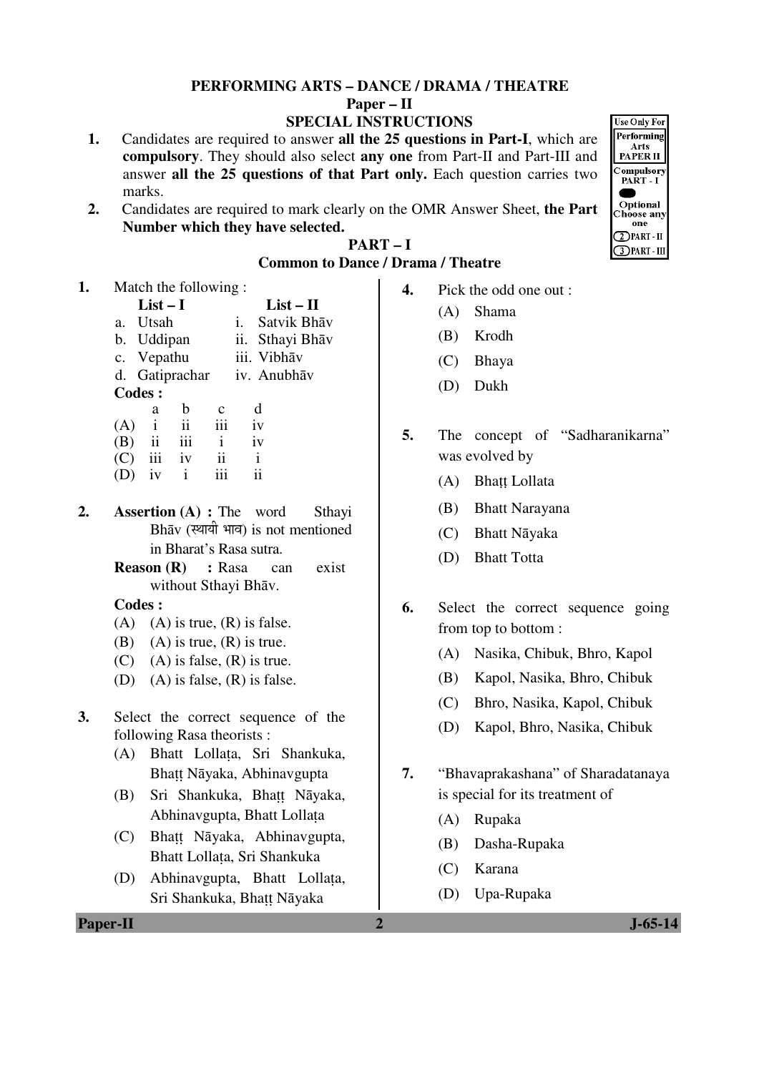#### **PERFORMING ARTS – DANCE / DRAMA / THEATRE Paper – II SPECIAL INSTRUCTIONS**

- **1.** Candidates are required to answer **all the 25 questions in Part-I**, which are **compulsory**. They should also select **any one** from Part-II and Part-III and answer **all the 25 questions of that Part only.** Each question carries two marks.
- **2.** Candidates are required to mark clearly on the OMR Answer Sheet, **the Part Number which they have selected.**

**Use Only For** Performing Arts<br>PAPER II Compulsory PART I Optional **Choose any** one  $\bigcirc$  PART - II **3 PART - III** 

| m<br>u<br>יי<br>-<br>٠<br>Ш |  |
|-----------------------------|--|
|-----------------------------|--|

## **Common to Dance / Drama / Theatre**

**1.** Match the following :

|     | $List-I$      |                |             |               | $List - II$ |
|-----|---------------|----------------|-------------|---------------|-------------|
|     | a. Utsah      |                |             | $i_{\bullet}$ | Satvik Bhāv |
|     | b. Uddipan    |                |             | 11.           | Sthayi Bhāv |
|     | c. Vepathu    |                |             |               | iii. Vibhāv |
|     |               | d. Gatiprachar |             |               | iv. Anubhāv |
|     | <b>Codes:</b> |                |             |               |             |
|     | a             | h              | $\mathbf c$ |               | d           |
| (A) | i             | $\mathbf{ii}$  | iii         |               | iv          |
|     | ii            |                | 1           |               | iv          |

- (C) iii iv ii i  $(D)$  iv i iii ii
- **2. Assertion (A) :** The word Sthayi Bhāv (स्थायी भाव) is not mentioned in Bharat's Rasa sutra.
	- **Reason (R) :** Rasa can exist without Sthayi Bhāv.

- $(A)$  (A) is true,  $(R)$  is false.
- (B) (A) is true,  $(R)$  is true.
- $(C)$  (A) is false,  $(R)$  is true.
- (D) (A) is false,  $(R)$  is false.
- **3.** Select the correct sequence of the following Rasa theorists :
- (A) Bhatt Lollața, Sri Shankuka, Bhațț Nāyaka, Abhinavgupta
- (B) Sri Shankuka, Bhațț Nāyaka, Abhinavgupta, Bhatt Lollața
- (C) Bhațț Nāyaka, Abhinavgupta, Bhatt Lollața, Sri Shankuka
- (D) Abhinavgupta, Bhatt Lollața, Sri Shankuka, Bhațț Nāyaka

- **4.** Pick the odd one out :
	- (A) Shama
	- (B) Krodh
	- (C) Bhaya
	- (D) Dukh
- **5.** The concept of "Sadharanikarna" was evolved by
- (A) Bhaṭṭ Lollata
	- (B) Bhatt Narayana
	- (C) Bhatt Nāyaka
	- (D) Bhatt Totta
- **6.** Select the correct sequence going from top to bottom :
	- (A) Nasika, Chibuk, Bhro, Kapol
	- (B) Kapol, Nasika, Bhro, Chibuk
	- (C) Bhro, Nasika, Kapol, Chibuk
	- (D) Kapol, Bhro, Nasika, Chibuk
- **7.** "Bhavaprakashana" of Sharadatanaya is special for its treatment of
	- (A) Rupaka
	- (B) Dasha-Rupaka
	- (C) Karana
	- (D) Upa-Rupaka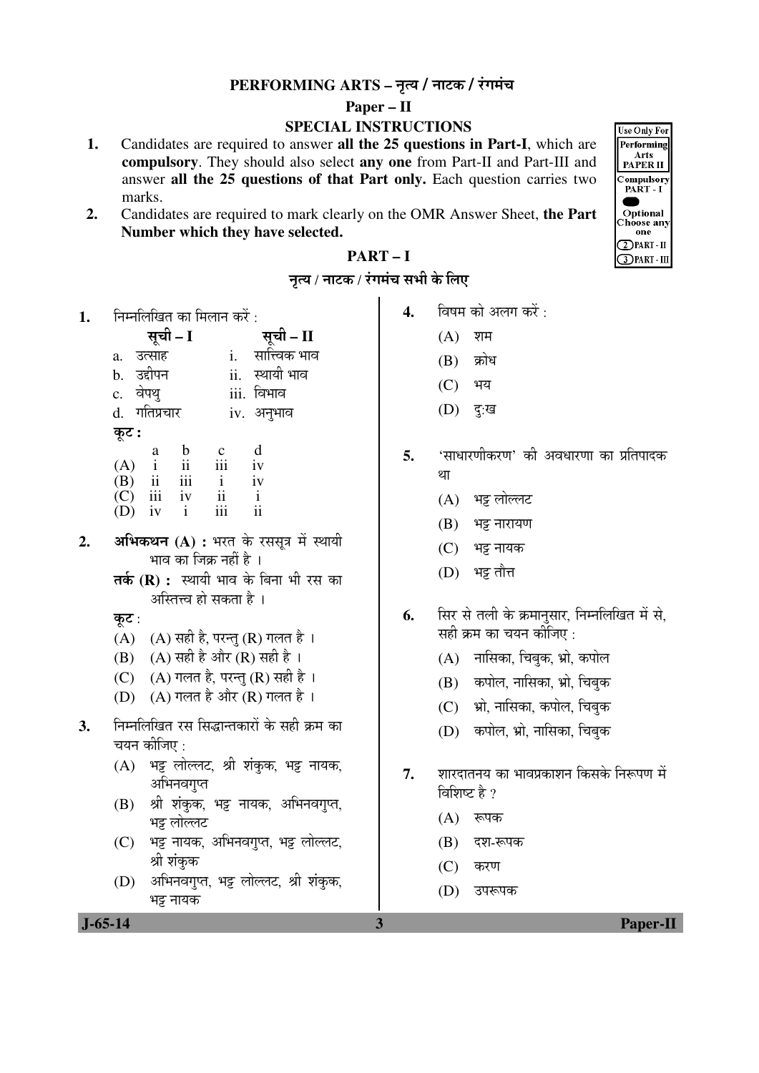## **PERFORMING ARTS – नृत्य / नाटक / रंगमंच**

### **Paper – II**

## **SPECIAL INSTRUCTIONS**

- **1.** Candidates are required to answer **all the 25 questions in Part-I**, which are **compulsory**. They should also select **any one** from Part-II and Part-III and answer **all the 25 questions of that Part only.** Each question carries two marks.
- **2.** Candidates are required to mark clearly on the OMR Answer Sheet, **the Part Number which they have selected.**



## **PART – I**

| नृत्य / नाटक / रंगमंच सभी के लिए |  |  |  |
|----------------------------------|--|--|--|
|                                  |  |  |  |

**1. निम्नलिखित का मिलान करें** ·

|       |                |                                                                             |                                                                | सूची – II                            |
|-------|----------------|-----------------------------------------------------------------------------|----------------------------------------------------------------|--------------------------------------|
| a.    |                |                                                                             | i.                                                             | सात्त्विक भाव                        |
|       |                |                                                                             |                                                                | ii. स्थायी भाव                       |
|       |                |                                                                             |                                                                | <u>iii. विभाव</u>                    |
|       |                |                                                                             |                                                                | iv. अनुभाव                           |
| कूट : |                |                                                                             |                                                                |                                      |
|       | a              |                                                                             |                                                                | d                                    |
|       |                |                                                                             |                                                                | $\overline{i}$                       |
|       |                | iii                                                                         | $\mathbf{i}$                                                   | iv                                   |
|       | $(A)$<br>$(B)$ | उत्साह<br>b. उद्दीपन<br>c. वेपथु<br>$\mathbf{i}$<br>$\overline{\mathbf{u}}$ | सूची – I<br>d. गतिप्रचार<br>$\mathbf b$<br>$\ddot{\mathbf{i}}$ | $\cdots$ $\cdots$<br>$\frac{c}{111}$ |

- $\begin{matrix}\n(C) & \text{iii} & \text{iv} & \text{ii} & \text{i} \\
(D) & \text{iv} & \text{i} & \text{iii} & \text{ii}\n\end{matrix}$  $(D)$  iv
- 2. **अभिकथन (A) :** भरत के रससूत्र में स्थायी भाव का जिक्र नहीं है ।
	- तर्क (R) : स्थायी भाव के बिना भी रस का अस्तित्त्व हो सकता है ।
	- कट $:$
	- $(A)$   $(A)$  सही है, परन्तु $(R)$  गलत है।
	- (B)  $(A)$  सही है और  $(R)$  सही है।
	- (C)  $(A)$  गलत है, परन्त (R) सही है।
	- (D)  $(A)$  गलत है और  $(R)$  गलत है।
- 3. निम्नलिखित रस सिद्धान्तकारों के सही क्रम का चयन कीजिए :
	- $(A)$  भट्ट लोल्लट, श्री शंकक, भट्ट नायक, अभिनवगुप्त
	- (B) श्री शंकक, भट्ट नायक, अभिनवगुप्त, भइ लोल्लट
	- (C) भट्ट नायक, अभिनवगुप्त, भट्ट लोल्लट, श्री शंकक
	- (D) अभिनवगुप्त, भट्ट लोल्लट, श्री शंकुक, भट्ट नायक

4. विषम को अलग करें :

- $(A)$  शम
- $(B)$  क्रोध
- (C) भय
- $(D)$  दुःख
- **5.** 'साधारणीकरण' की अवधारणा का प्रतिपादक था
	- $(A)$  भड़ लोल्लट
	- $(B)$  भट्ट नारायण
	- (C) भट्ट नायक
	- $(D)$  भट्ट तौत्त
- **6.** सिर से तली के क्रमानुसार, निम्नलिखित में से, सही क्रम का चयन कोजिए :
	- $(A)$  नासिका, चिबुक, भ्रो, कपोल
	- (B) कपोल, नासिका, भ्रो, चिबुक
	- (C) भ्रो, नासिका, कपोल, चिबुक
	- (D) कपोल, भ्रो, नासिका, चिबुक
- **7.** ¿ÖÖ¸ü¤üÖŸÖ®ÖµÖ ÛúÖ ³ÖÖ¾Ö¯ÖÏÛúÖ¿Ö®Ö ×ÛúÃÖÛêú ×®Öºþ¯ÖÞÖ ´Öë विशिष्ट है ?
	- $(A)$  रूपक
	- $(B)$  दश-रूपक
	- $(C)$  करण
	- (D) उपरूपक

 **J-65-14 3 Paper-II**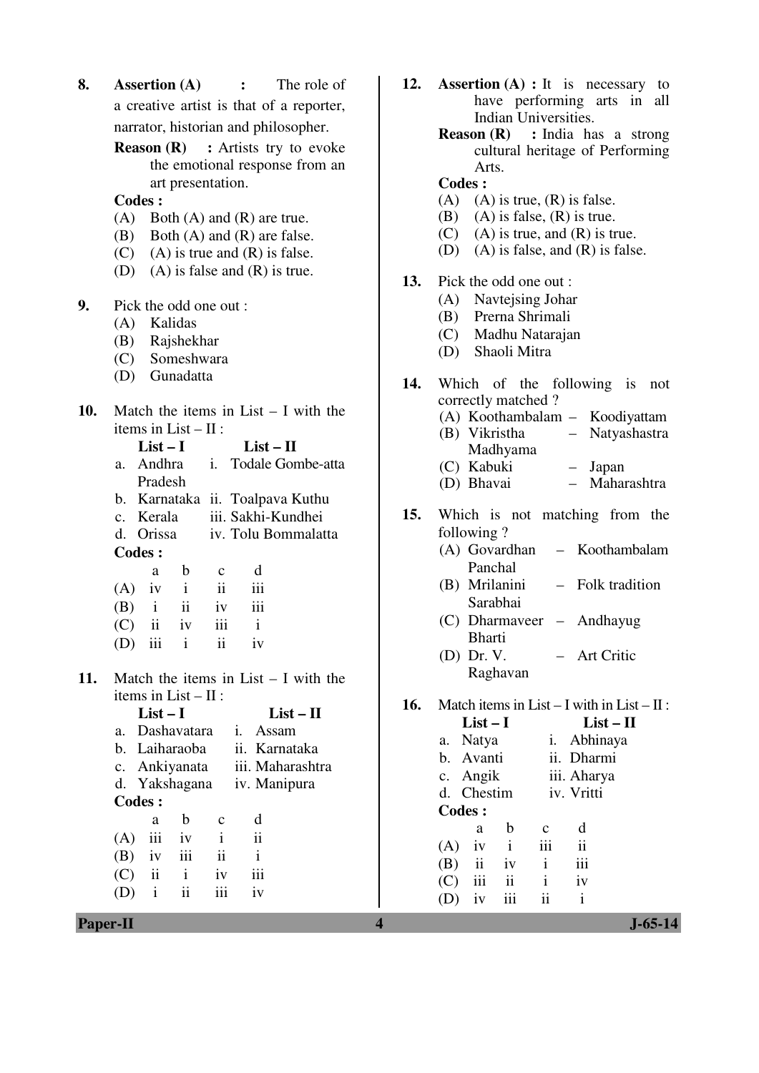- **8. Assertion (A) :** The role of a creative artist is that of a reporter, narrator, historian and philosopher.
	- **Reason (R)** : Artists try to evoke the emotional response from an art presentation.
	- **Codes :**
	- (A) Both (A) and (R) are true.
	- (B) Both (A) and (R) are false.
	- $(C)$  (A) is true and  $(R)$  is false.
	- (D) (A) is false and (R) is true.
- **9.** Pick the odd one out :
	- (A) Kalidas
	- (B) Rajshekhar
	- (C) Someshwara
	- (D) Gunadatta
- **10.** Match the items in List I with the items in List –  $II$  :

|                | $List-I$                |               |                | $List-II$ |                                 |
|----------------|-------------------------|---------------|----------------|-----------|---------------------------------|
| a <sub>z</sub> | Andhra                  |               | $\mathbf{i}$ . |           | Todale Gombe-atta               |
|                | Pradesh                 |               |                |           |                                 |
|                |                         |               |                |           | b. Karnataka ii. Toalpava Kuthu |
|                | c. Kerala               |               |                |           | iii. Sakhi-Kundhei              |
|                |                         |               |                |           | d. Orissa iv. Tolu Bommalatta   |
|                | Codes :                 |               |                |           |                                 |
|                | a                       | b             | $\mathbf{c}$   | d         |                                 |
| (A)            | 1V                      | $\mathbf{i}$  | ii             | iii       |                                 |
| (B)            | $\mathbf{i}$            | $\mathbf{ii}$ | 1V             | iii       |                                 |
| (C)            | $\overline{\mathbf{u}}$ | iv            | 111            | i         |                                 |
|                | iii                     | i             | ii             | 1V        |                                 |

**11.** Match the items in List – I with the items in List  $-$  II  $\cdot$ 

|         | $List-I$                 |              |              |              | $List-II$        |  |
|---------|--------------------------|--------------|--------------|--------------|------------------|--|
| $a_{-}$ | <b>Dashavatara</b>       |              |              | Assam<br>Ĺ.  |                  |  |
|         | b. Laiharaoba            |              |              |              | ii. Karnataka    |  |
|         | c. Ankiyanata            |              |              |              | iii. Maharashtra |  |
|         | d. Yakshagana            |              |              |              | iv. Manipura     |  |
| Codes : |                          |              |              |              |                  |  |
|         | a                        | b            | C            | d            |                  |  |
| (A)     | iii                      | iv           | $\mathbf{i}$ | ii           |                  |  |
| (B)     | iv                       | iii          | ii           | $\mathbf{i}$ |                  |  |
| (C)     | $\overline{\mathbf{ii}}$ | $\mathbf{i}$ | 1V           | iii          |                  |  |
|         | i                        | ii           |              | 1V           |                  |  |
|         |                          |              |              |              |                  |  |

- **12. Assertion (A) :** It is necessary to have performing arts in all Indian Universities.
	- **Reason (R) :** India has a strong cultural heritage of Performing Arts.
	- **Codes :**
	- (A) (A) is true,  $(R)$  is false.
	- (B) (A) is false,  $(R)$  is true.
	- $(C)$  (A) is true, and  $(R)$  is true.
	- (D) (A) is false, and (R) is false.
- **13.** Pick the odd one out :
	- (A) Navtejsing Johar
	- (B) Prerna Shrimali
	- (C) Madhu Natarajan
	- (D) Shaoli Mitra
- **14.** Which of the following is not correctly matched ? (A) Koothambalam – Koodiyattam (B) Vikristha – Natyashastra
	- Madhyama (C) Kabuki – Japan
	- (D) Bhavai Maharashtra
- **15.** Which is not matching from the following ?
	- (A) Govardhan Panchal – Koothambalam
	- (B) Mrilanini Sarabhai – Folk tradition
	- (C) Dharmaveer Andhayug Bharti
	- (D) Dr. V. Raghavan – Art Critic

**16.** Match items in List – I with in List –  $\Pi$ :

|     | $List-I$      |              |              |               | $List - II$ |  |
|-----|---------------|--------------|--------------|---------------|-------------|--|
|     | a. Natya      |              |              | i. Abhinaya   |             |  |
|     | b. Avanti     |              |              | ii. Dharmi    |             |  |
|     | c. Angik      |              |              | iii. Aharya   |             |  |
|     | d. Chestim    |              |              | iv. Vritti    |             |  |
|     | <b>Codes:</b> |              |              |               |             |  |
|     | a             | b            | $\mathbf{c}$ | d             |             |  |
| (A) | iv            | $\mathbf{i}$ | iii          | $\mathbf{ii}$ |             |  |
|     | $(B)$ ii      | iv           | $\mathbf{i}$ | iii           |             |  |
|     | $(C)$ iii     | ii           | $\mathbf{i}$ | iv            |             |  |
|     | iv            | iii          | ii           | $\mathbf{i}$  |             |  |
|     |               |              |              |               |             |  |

**Paper-II** J-65-14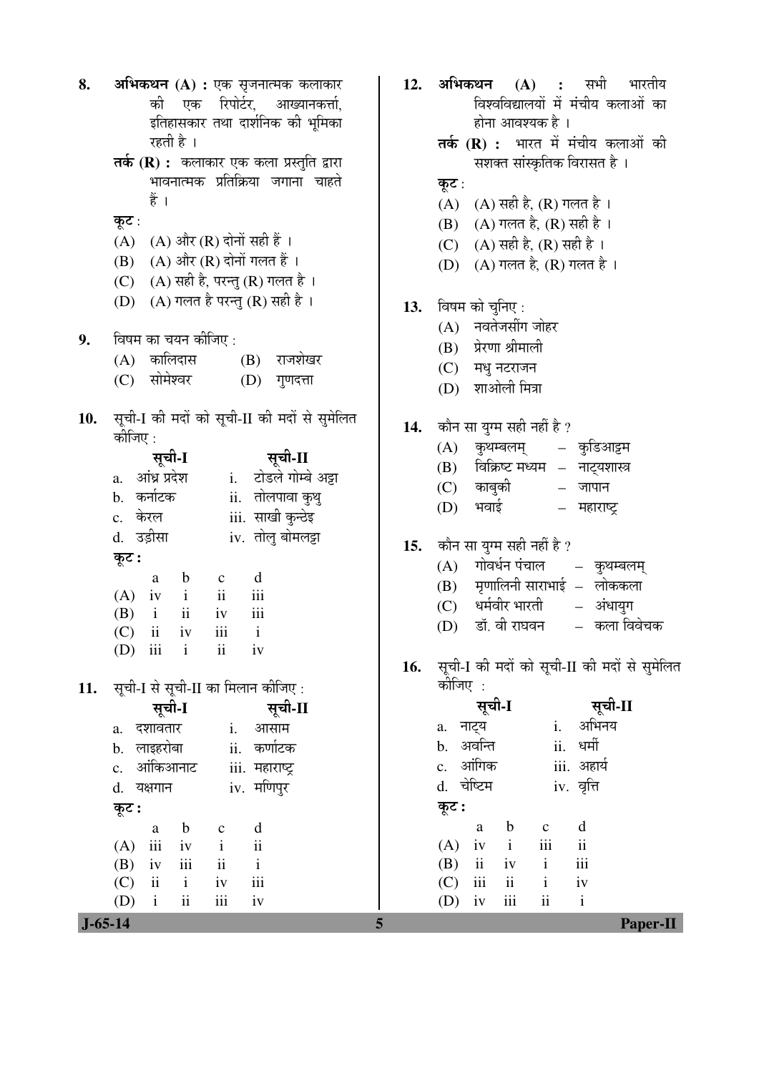| 8.  | <b>अभिकथन (A) :</b> एक सृजनात्मक कलाकार             |  |
|-----|-----------------------------------------------------|--|
|     | की एक रिपोर्टर, आख्यानकर्त्ता,                      |  |
|     | इतिहासकार तथा दार्शनिक की भूमिका                    |  |
|     | रहती है ।                                           |  |
|     | <b>तर्क (R) :</b> कलाकार एक कला प्रस्तुति द्वारा    |  |
|     | भावनात्मक प्रतिक्रिया जगाना चाहते                   |  |
|     | हैं ।                                               |  |
|     |                                                     |  |
|     | कूट :<br>(A) (A) और (R) दोनों सही हैं ।             |  |
|     | (B) (A) और (R) दोनों गलत हैं।                       |  |
|     |                                                     |  |
|     | (C) (A) सही है, परन्तु (R) गलत है ।                 |  |
|     | (D) (A) गलत है परन्तु (R) सही है ।                  |  |
| 9.  | विषम का चयन कीजिए :                                 |  |
|     | (A) कालिदास<br>(B) राजशेखर                          |  |
|     | (C) सोमेश्वर<br>(D) गुणदत्ता                        |  |
|     |                                                     |  |
| 10. | सूची-I की मदों को सूची-II की मदों से सुमेलित        |  |
|     | कीजिए :                                             |  |
|     | सूची-I<br>सूची-II                                   |  |
|     | i. टोडले गोम्बे अट्टा<br>a. आंध्र प्रदेश            |  |
|     | b. कर्नाटक<br>ii. तोलपावा कुथु                      |  |
|     | iii. साखी कुन्ठेइ<br>c. केरल                        |  |
|     | d. उड़ीसा<br>iv. तोलु बोमलट्टा                      |  |
|     | कूट :                                               |  |
|     | d<br>$\mathbf{b}$<br>$\mathbf{c}$<br>a              |  |
|     | $(A)$ iv i ii<br>iii                                |  |
|     | $(B)$ i ii iv<br>iii                                |  |
|     | $(C)$ ii iv<br>$\mathbf{i}$<br>iii                  |  |
|     | (D)<br>$\overline{111}$<br>$\mathbf{1}$<br>11<br>1V |  |
|     |                                                     |  |
| 11. | सूची-I से सूची-II का मिलान कीजिए :                  |  |
|     | सूची-II<br>सूची-I                                   |  |
|     | दशावतार<br>i. आसाम<br>a.                            |  |
|     | b. लाइहरोबा<br>ii. कर्णाटक                          |  |
|     | c. आंकिआनाट<br>iii. महाराष्ट्र                      |  |
|     | iv. मणिपुर<br>d. यक्षगान                            |  |
|     | कूट :                                               |  |
|     | $\mathbf b$<br>d<br>a<br>$\mathbf c$                |  |
|     | $\mathbf{i}$<br>(A)<br>iii iv<br>ii                 |  |
|     | $(B)$ iv iii ii<br>$\mathbf{i}$                     |  |
|     | $(C)$ ii i<br>iii<br>iv                             |  |
|     | $\mathbf{ii}$<br>$(D)$ i<br>iv<br>iii               |  |

 $J-65-14$ 

12. अभिकथन (A) : सभी भारतीय विश्वविद्यालयों में मंचीय कलाओं का होना आवश्यक है । तर्क (R) : भारत में मंचीय कलाओं की सशक्त सांस्कृतिक विरासत है। कूट:  $(A)$   $(A)$  सही है,  $(R)$  गलत है। (B) (A) गलत है, (R) सही है। (C) (A) सही है, (R) सही है।  $(D)$   $(A)$  गलत है,  $(R)$  गलत है। 13. विषम को चुनिए: (A) नवतेजसींग जोहर (B) प्रेरणा श्रीमाली (C) मधु नटराजन (D) शाओली मित्रा कौन सा युग्म सही नहीं है ? 14.  $(A)$  कुथम्बलम् – कुडिआट्टम (B) विक्रिष्ट मध्यम – नाटयशास्त्र  $(C)$  काबुकी  $-$  जापान  $(D)$ भवाई – महाराष्ट्र कौन सा युग्म सही नहीं है ? 15.  $(A)$  गोवर्धन पंचाल – कुथम्बलम् (B) मृणालिनी साराभाई – लोककला  $(C)$  धर्मवीर भारती – अंधायुग (D) डॉ. वी राघवन – कला विवेचक 16. सूची-I की मदों को सूची-II की मदों से सुमेलित कोजिए : सूची-I सूची-II i. अभिनय a. नाट्य b. अवन्ति ii. धर्मी c. आंगिक iii. अहार्य d. चेष्टिम iv. वृत्ति कूट :  $\mathbf d$  $\mathbf b$  $\mathbf c$ a  $(A)$  iv i iii  $\mathbf{ii}$ 

 $\mathbf{i}$ 

 $\mathbf{i}$ 

 $\mathbf{ii}$ 

iii

iv

 $\mathbf{i}$ 

5

(B)

 $(C)$  iii

 $(D)$  iv

 $\overline{\mathbf{u}}$ 

 $iv$ 

 $\overline{\mathbf{u}}$ 

iii

Paper-II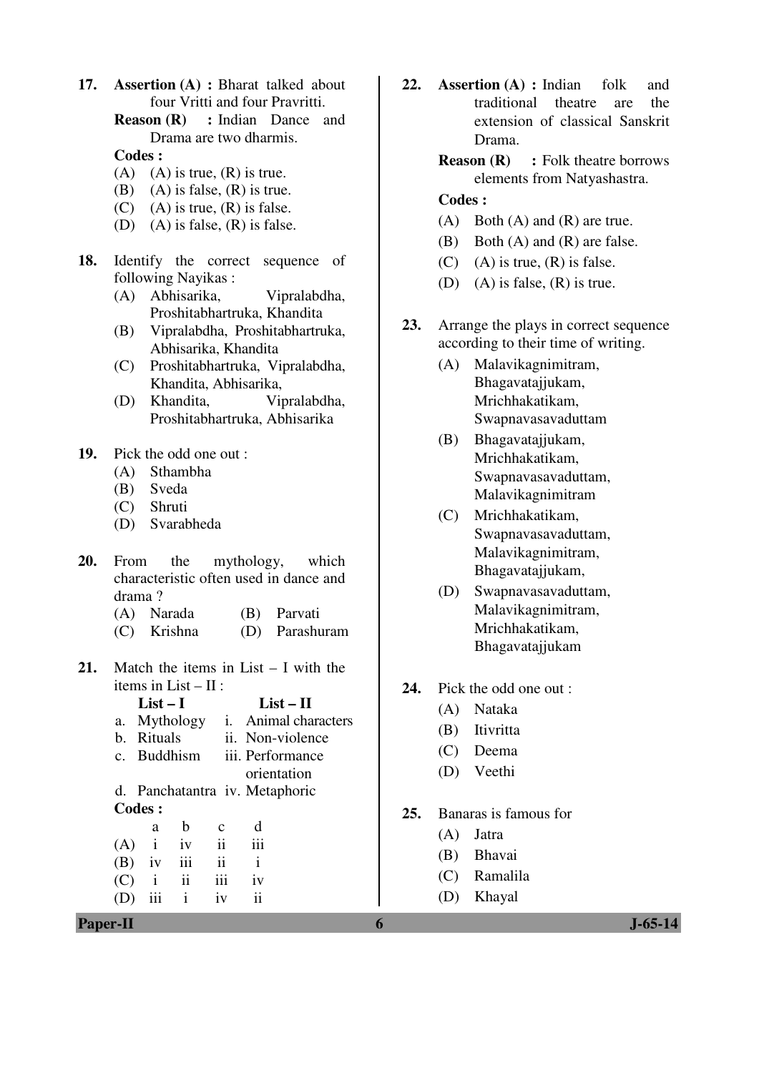**17. Assertion (A) :** Bharat talked about four Vritti and four Pravritti.

> **Reason (R) :** Indian Dance and Drama are two dharmis.

 **Codes :** 

- (A) (A) is true,  $(R)$  is true.
- (B) (A) is false,  $(R)$  is true.
- (C) (A) is true,  $(R)$  is false.
- (D) (A) is false, (R) is false.
- **18.** Identify the correct sequence of following Nayikas :
	- (A) Abhisarika, Vipralabdha, Proshitabhartruka, Khandita
	- (B) Vipralabdha, Proshitabhartruka, Abhisarika, Khandita
	- (C) Proshitabhartruka, Vipralabdha, Khandita, Abhisarika,
	- (D) Khandita, Vipralabdha, Proshitabhartruka, Abhisarika

### **19.** Pick the odd one out :

- (A) Sthambha
- (B) Sveda
- (C) Shruti
- (D) Svarabheda
- **20.** From the mythology, which characteristic often used in dance and drama ?
	- (A) Narada (B) Parvati
	- (C) Krishna (D) Parashuram
- **21.** Match the items in List I with the items in List – II :
- **List I List II**  a. Mythology i. Animal characters b. Rituals ii. Non-violence c. Buddhism iii. Performance orientation d. Panchatantra iv. Metaphoric **Codes :**  a b c d  $(A)$  i iv ii iii  $(B)$  iv iii ii i  $(C)$  i ii iii iv (D) iii i iv ii
- **Paper-II 6 J-65-14**
- **22. Assertion (A) :** Indian folk and traditional theatre are the extension of classical Sanskrit Drama.
	- **Reason (R)** : Folk theatre borrows elements from Natyashastra.

- (A) Both (A) and (R) are true.
- (B) Both (A) and (R) are false.
- (C) (A) is true,  $(R)$  is false.
- (D) (A) is false,  $(R)$  is true.
- **23.** Arrange the plays in correct sequence according to their time of writing.
	- (A) Malavikagnimitram, Bhagavatajjukam, Mrichhakatikam, Swapnavasavaduttam
	- (B) Bhagavatajjukam, Mrichhakatikam, Swapnavasavaduttam, Malavikagnimitram
	- (C) Mrichhakatikam, Swapnavasavaduttam, Malavikagnimitram, Bhagavatajjukam,
	- (D) Swapnavasavaduttam, Malavikagnimitram, Mrichhakatikam, Bhagavatajjukam
- **24.** Pick the odd one out :
	- (A) Nataka
	- (B) Itivritta
	- (C) Deema
	- (D) Veethi
- **25.** Banaras is famous for
	- (A) Jatra
	- (B) Bhavai
	- (C) Ramalila
	- (D) Khayal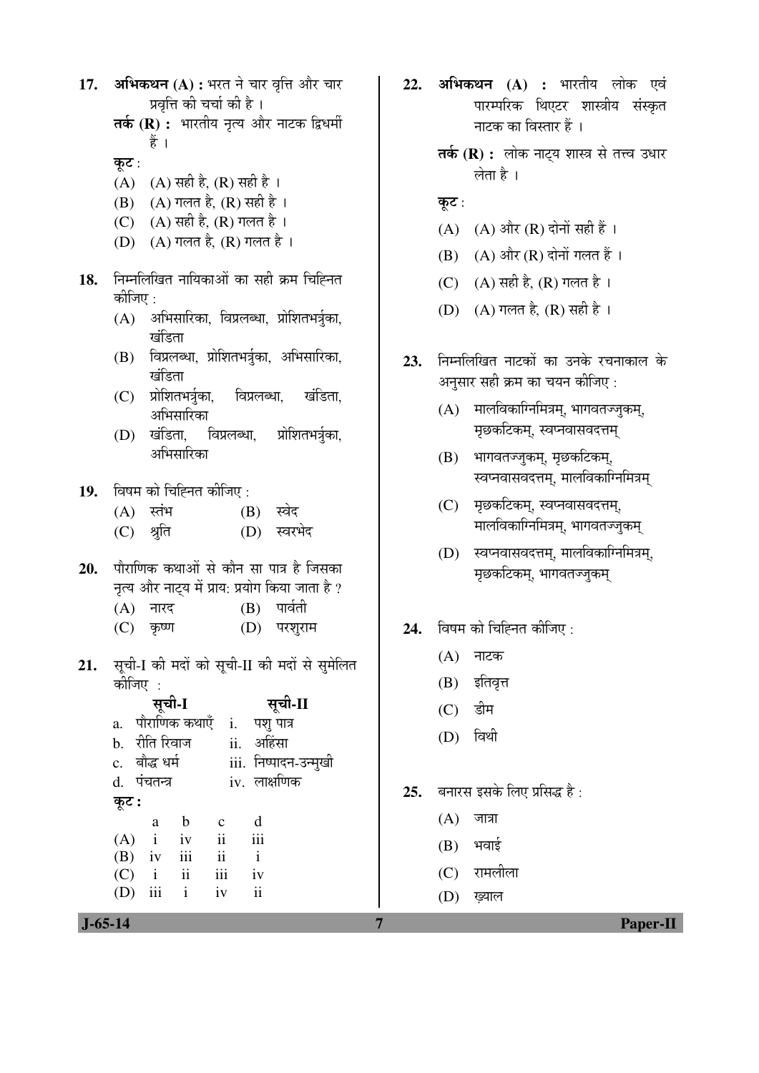- 17. अभिकथन (A) : भरत ने चार वृत्ति और चार प्रवृत्ति की चर्चा की है ।
	- तर्क (R) : भारतीय नृत्य और नाटक द्विधर्मी हैं ।

कूट :

- (A) (A) सही है, (R) सही है ।
- (B) (A) गलत है, (R) सही है ।
- (C) (A) सही है, (R) गलत है।
- $(D)$   $(A)$  गलत है,  $(R)$  गलत है ।
- 18. निम्नलिखित नायिकाओं का सही क्रम चिह्नित कीजिए :
	- (A) अभिसारिका, विप्रलब्धा, प्रोशितभर्त्रका, खंडिता
	- (B) विप्रलब्धा, प्रोशितभर्त्रका, अभिसारिका, खंदिता
	- (C) प्रोशितभर्त्रुका, विप्रलब्धा. खंडिता. अभिसारिका
	- विप्रलब्धा,  $(D)$  खंडिता, प्रोशितभर्त्रुका, अभिसारिका
- 19. विषम को चिह्नित कीजिए:
	- $(A)$  स्तंभ  $(B)$  स्वेद
	- $(C)$ श्रुति (D) स्वरभेद
- पौराणिक कथाओं से कौन सा पात्र है जिसका  $20.$ नृत्य और नाट्य में प्राय: प्रयोग किया जाता है ?
	- $(B)$  पार्वती  $(A)$  नारद
	- $(C)$  कृष्ण (D) परशुराम
- सूची-I की मदों को सूची-II की मदों से सुमेलित  $21.$ कोजिए :

|       |               | सूची-I                  |                     | सूची-II               |  |
|-------|---------------|-------------------------|---------------------|-----------------------|--|
|       |               | a. पौराणिक कथाएँ        |                     | i. पशु पात्र          |  |
|       |               | b. रीति रिवाज           |                     | ii. अहिंसा            |  |
|       | c. बौद्ध धर्म |                         |                     | iii. निष्पादन-उन्मुखी |  |
|       | d. पंचतन्त्र  |                         |                     | iv. लाक्षणिक          |  |
| कूट : |               |                         |                     |                       |  |
|       | a             | b                       | $\mathbf{c}$        | d                     |  |
|       | $(A)$ i       | iv                      | $\ddot{\mathbf{i}}$ | iii                   |  |
|       | $(B)$ iv      | iii                     | $\ddot{\rm n}$      | $\mathbf{i}$          |  |
| (C)   | $\mathbf{i}$  | $\overline{\mathbf{u}}$ | iii                 | iv                    |  |

 $iv$ 

 $\mathbf{ii}$ 

- 22. अभिकथन (A) : भारतीय लोक एवं पारम्परिक थिएटर शास्त्रीय संस्कृत नाटक का विस्तार हैं ।
	- तर्क (R) : लोक नाट्य शास्त्र से तत्त्व उधार लेता है ।
	- कूट:
	- (A) (A) और (R) दोनों सही हैं ।
	- $(B)$   $(A)$  और  $(R)$  दोनों गलत हैं।
	- (C) (A) सही है, (R) गलत है।
	- (D) (A) गलत है, (R) सही है।
- निम्नलिखित नाटकों का उनके रचनाकाल के  $23.$ अनुसार सही क्रम का चयन कीजिए :
	- (A) मालविकाग्निमित्रम्, भागवतज्जुकम्, मृछकटिकम्, स्वप्नवासवदत्तम्
	- (B) भागवतज्जुकम्, मृछकटिकम्, स्वप्नवासवदत्तम्, मालविकाग्निमित्रम्
	- (C) मृछकटिकम्, स्वप्नवासवदत्तम्, मालविकाग्निमित्रम्, भागवतज्जुकम्
	- (D) स्वप्नवासवदत्तम, मालविकाग्निमित्रम, मृछकटिकम्, भागवतज्जुकम्
- विषम को चिह्नित कीजिए : 24.
	- (A) नाटक
	- (B) इतिवृत्त
	- डीम  $(C)$
	- (D) विथी
- बनारस इसके लिए प्रसिद्ध है :  $25.$ 
	- $(A)$  जात्रा
	- $(B)$  भवाई

 $\overline{7}$ 

- (C) रामलीला
- (D) ख्याल

 $(D)$  iii

 $\mathbf{i}$ 

Paper-II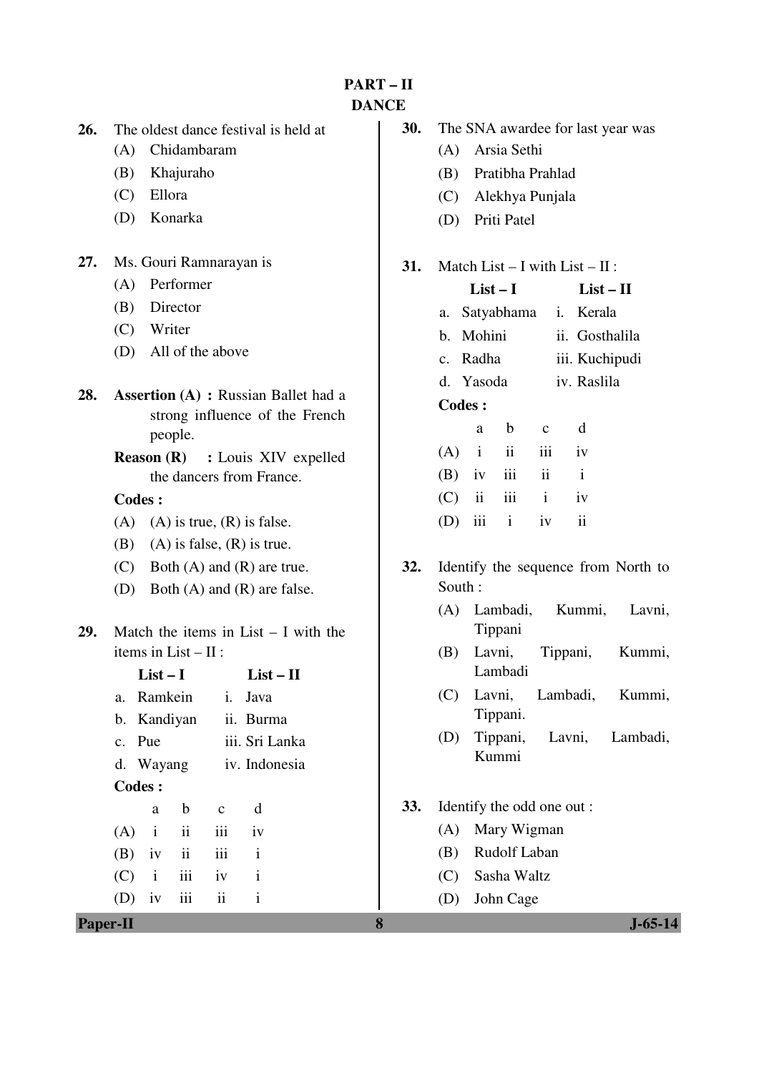**PART – II DANCE** 

- **26.** The oldest dance festival is held at
	- (A) Chidambaram
	- (B) Khajuraho
	- (C) Ellora
	- (D) Konarka
- **27.** Ms. Gouri Ramnarayan is
	- (A) Performer
	- (B) Director
	- (C) Writer
	- (D) All of the above
- **28. Assertion (A) :** Russian Ballet had a strong influence of the French people.

### **Codes :**

- (A) (A) is true,  $(R)$  is false.
- (B) (A) is false,  $(R)$  is true.
- (C) Both (A) and (R) are true.
- (D) Both (A) and (R) are false.
- **29.** Match the items in List I with the items in List – II :

| $List-I$      |                          |                | $List - II$     |  |
|---------------|--------------------------|----------------|-----------------|--|
| a. Ramkein    |                          |                | <i>i</i> . Java |  |
| b. Kandiyan   |                          |                | ii. Burma       |  |
| c. Pue        |                          | iii. Sri Lanka |                 |  |
| d. Wayang     |                          | iv. Indonesia  |                 |  |
| <b>Codes:</b> |                          |                |                 |  |
| a             | b                        | C              | d               |  |
| $(A)$ i ii    |                          | iii            | iv              |  |
| $(B)$ iv      | $\overline{\mathbf{ii}}$ | iii            | $\mathbf{i}$    |  |
| $(C)$ i iii   |                          | iv             | i               |  |
| iv            | iii                      | $\ddot{\rm n}$ | i               |  |

|  | <b>30.</b> The SNA awardee for last year was |
|--|----------------------------------------------|
|  | (A) Arsia Sethi                              |
|  | (B) Pratibha Prahlad                         |
|  | (C) Alekhya Punjala                          |
|  | (D) Priti Patel                              |

#### **31.** Match List – I with List – II :

|     | $List-I$      |              | $List - II$             |  |                         |
|-----|---------------|--------------|-------------------------|--|-------------------------|
|     |               |              |                         |  | a. Satyabhama i. Kerala |
|     | b. Mohini     |              |                         |  | ii. Gosthalila          |
|     | c. Radha      |              |                         |  | iii. Kuchipudi          |
|     | d. Yasoda     |              |                         |  | iv. Raslila             |
|     | <b>Codes:</b> |              |                         |  |                         |
|     | a             | b            | $\mathbf{C}$            |  | d                       |
|     | $(A)$ i ii    |              | $\overline{\text{iii}}$ |  | $-iv$                   |
|     | $(B)$ iv      | iii          | $\ddot{\mathbf{i}}$     |  | $\mathbf{i}$            |
| (C) | ii            | iii          | $\mathbf{i}$            |  | iv                      |
| (D) | iii           | $\mathbf{i}$ | iv                      |  | ij                      |

- **32.** Identify the sequence from North to South :
	- (A) Lambadi, Kummi, Lavni, Tippani
	- (B) Lavni, Tippani, Kummi, Lambadi
	- (C) Lavni, Lambadi, Kummi, Tippani.
	- (D) Tippani, Lavni, Lambadi, Kummi
- **33.** Identify the odd one out :
	- (A) Mary Wigman
	- (B) Rudolf Laban
	- (C) Sasha Waltz
	- (D) John Cage

**Reason (R) :** Louis XIV expelled the dancers from France.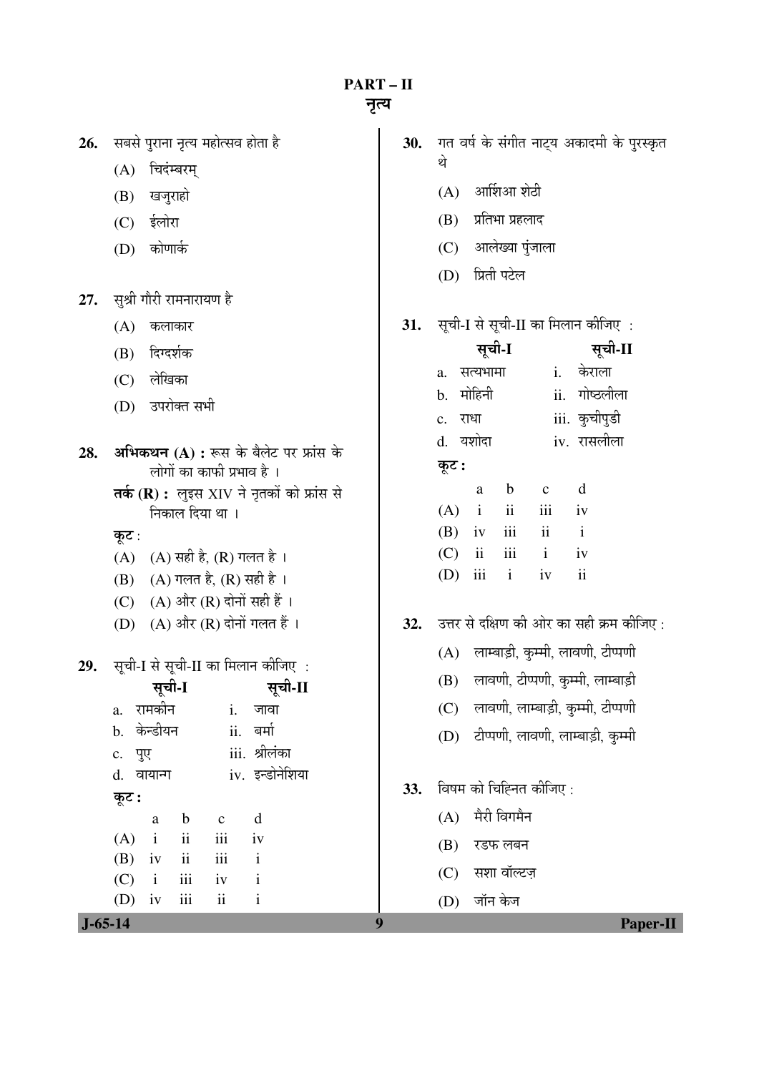**PART-II** 

- 26. सबसे पुराना नृत्य महोत्सव होता है
	- (A) चिदंम्बरम्
	- (B) खजुराहो
	- $(C)$  ईलोरा
	- (D) कोणार्क

27. सुश्री गौरी रामनारायण है

- $(A)$  कलाकार
- (B) दिग्दर्शक
- (C) लेखिका
- (D) उपरोक्त सभी
- अभिकथन (A) : रूस के बैलेट पर फ्रांस के 28. लोगों का काफी प्रभाव है ।
	- तर्क (R) : लुइस XIV ने नृतकों को फ्रांस से निकाल दिया था ।
	- कूट:
	- $(A)$   $(A)$  सही है,  $(R)$  गलत है।
	- (B) (A) गलत है, (R) सही है ।
	- (C)  $(A)$  और  $(R)$  दोनों सही हैं।
	- (D) (A) और (R) दोनों गलत हैं ।
- सूची-I से सूची-II का मिलान कीजिए : 29.

|           | सूची-I         |                               |                     |                 |  |  |
|-----------|----------------|-------------------------------|---------------------|-----------------|--|--|
|           | a. रामकीन      |                               |                     | i. जावा         |  |  |
|           | b. केन्डीयन    |                               |                     | ii. बर्मा       |  |  |
|           | c. पुए         |                               |                     | iii. श्रीलंका   |  |  |
|           | d. वायान्ग     |                               |                     | iv. इन्डोनेशिया |  |  |
| कूट :     |                |                               |                     |                 |  |  |
|           |                | a b                           | $\mathbf{c}$        | d               |  |  |
|           | $(A)$ i ii     |                               | iii                 | iv              |  |  |
|           | $(B)$ iv       | $\overrightarrow{\mathbf{i}}$ | iii                 | $\mathbf{i}$    |  |  |
|           | $(C)$ i iii iv |                               |                     | $\mathbf{i}$    |  |  |
|           | $(D)$ iv iii   |                               | $\ddot{\mathbf{i}}$ | $\mathbf{i}$    |  |  |
| $J-65-14$ |                |                               |                     |                 |  |  |

- 30. गत वर्ष के संगीत नाट्य अकादमी के पुरस्कृत थे
	- $(A)$  आर्शिआ शेठी
	- $(B)$  प्रतिभा प्रहलाद
	- (C) आलेख्या पुंजाला
	- (D) प्रिती पटेल
- सूची-I से सूची-II का मिलान कीजिए : 31.

|         |             | सूची-I                   |              | सूची-II             |
|---------|-------------|--------------------------|--------------|---------------------|
|         | a. सत्यभामा |                          |              | i. केराला           |
|         | b. मोहिनी   |                          |              | ii. गोष्ठलीला       |
| c. राधा |             |                          |              | iii. कुचीपुडी       |
|         | d. यशोदा    |                          |              | iv. रासलीला         |
| कूट :   |             |                          |              |                     |
|         | a           | b                        | $\mathbf{c}$ | d                   |
|         | $(A)$ i     | $\overline{\mathbf{ii}}$ | iii          | iv                  |
|         | $(B)$ iv    | iii                      | ii           | $\mathbf{i}$        |
|         | $(C)$ ii    | iii                      | $\mathbf{i}$ | iv                  |
| (D)     | iii         | $\mathbf{i}$             | iv           | $\ddot{\mathbf{i}}$ |
|         |             |                          |              |                     |

- 32. उत्तर से दक्षिण की ओर का सही क्रम कीजिए:
	- (A) लाम्बाड़ी, कुम्मी, लावणी, टीप्पणी
	- (B) लावणी, टीप्पणी, कुम्मी, लाम्बाड़ी
	- (C) लावणी, लाम्बाड़ी, कुम्मी, टीप्पणी
	- (D) टीप्पणी, लावणी, लाम्बाड़ी, कुम्मी
- $33.$  विषम को चिह्नित कीजिए:
	- $(A)$  मैरी विगमैन
	- $(B)$  रडफ लबन
	- (C) सशा वॉल्टज
	- (D) जॉन केज

**Paper-II**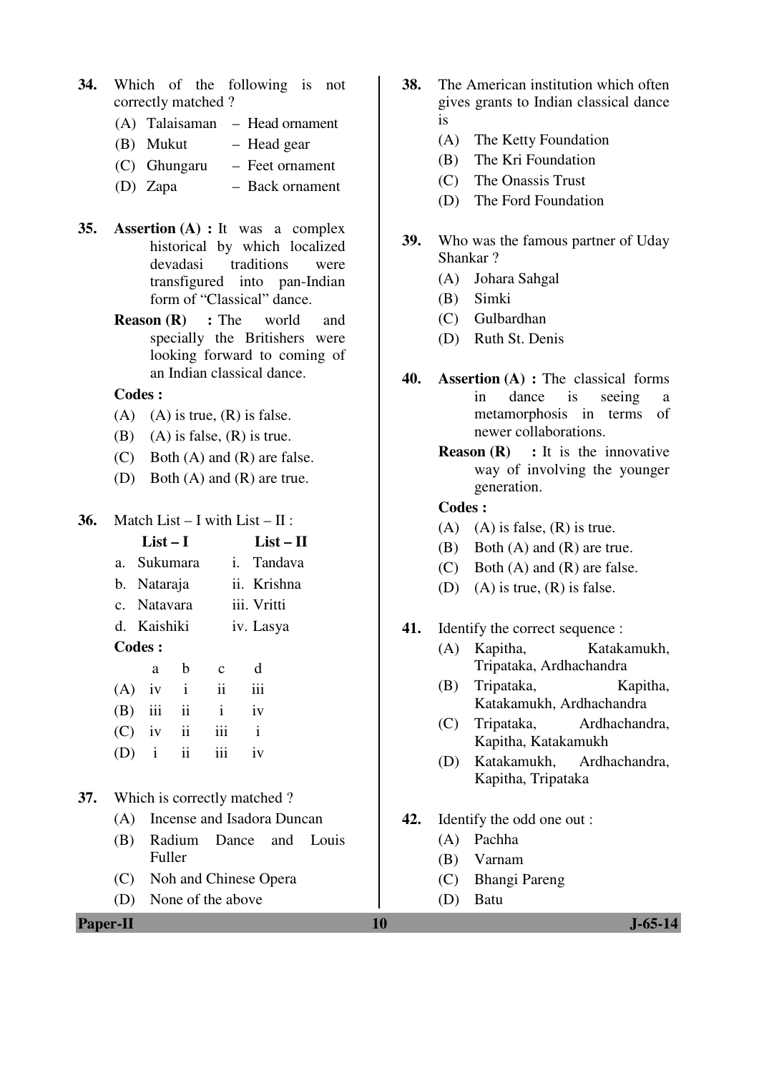- **34.** Which of the following is not correctly matched ?
	- (A) Talaisaman Head ornament
	- (B) Mukut Head gear
	- (C) Ghungaru Feet ornament
	- (D) Zapa Back ornament
- **35. Assertion (A) :** It was a complex historical by which localized devadasi traditions were transfigured into pan-Indian form of "Classical" dance.
	- **Reason (R) :** The world and specially the Britishers were looking forward to coming of an Indian classical dance.

#### **Codes :**

- (A) (A) is true,  $(R)$  is false.
- (B) (A) is false,  $(R)$  is true.
- (C) Both (A) and (R) are false.
- (D) Both (A) and (R) are true.
- **36.** Match List I with List II :

|           | $List-I$     |               |              | $List-II$    |  |
|-----------|--------------|---------------|--------------|--------------|--|
|           | a. Sukumara  |               |              | i. Tandava   |  |
|           | b. Nataraja  |               |              | ii. Krishna  |  |
|           | c. Natavara  |               | iii. Vritti  |              |  |
|           | d. Kaishiki  |               | iv. Lasya    |              |  |
| Codes :   |              |               |              |              |  |
|           | a            | b             | $\mathbf{c}$ | d            |  |
| (A)       | iv           | $\mathbf{i}$  | ii           | iii          |  |
| $(B)$ iii |              | ii            | $\mathbf{i}$ | iv           |  |
| $(C)$ iv  |              | $\mathbf{ii}$ | iii          | $\mathbf{i}$ |  |
| D)        | $\mathbf{i}$ | $\mathbf{ii}$ |              | iv           |  |
|           |              |               |              |              |  |

#### **37.** Which is correctly matched ?

- (A) Incense and Isadora Duncan
- (B) Radium Dance and Louis Fuller
- (C) Noh and Chinese Opera
- (D) None of the above
- **38.** The American institution which often gives grants to Indian classical dance is
	- (A) The Ketty Foundation
	- (B) The Kri Foundation
	- (C) The Onassis Trust
	- (D) The Ford Foundation
- **39.** Who was the famous partner of Uday Shankar ?
	- (A) Johara Sahgal
	- (B) Simki
	- (C) Gulbardhan
	- (D) Ruth St. Denis
- **40. Assertion (A) :** The classical forms in dance is seeing a metamorphosis in terms of newer collaborations.
	- **Reason (R)** : It is the innovative way of involving the younger generation.

- $(A)$  (A) is false,  $(R)$  is true.
- (B) Both (A) and (R) are true.
- (C) Both (A) and (R) are false.
- (D) (A) is true,  $(R)$  is false.
- **41.** Identify the correct sequence :
	- (A) Kapitha, Katakamukh, Tripataka, Ardhachandra
	- (B) Tripataka, Kapitha, Katakamukh, Ardhachandra
	- (C) Tripataka, Ardhachandra, Kapitha, Katakamukh
	- (D) Katakamukh, Ardhachandra, Kapitha, Tripataka
- **42.** Identify the odd one out :
	- (A) Pachha
	- (B) Varnam
	- (C) Bhangi Pareng
	- (D) Batu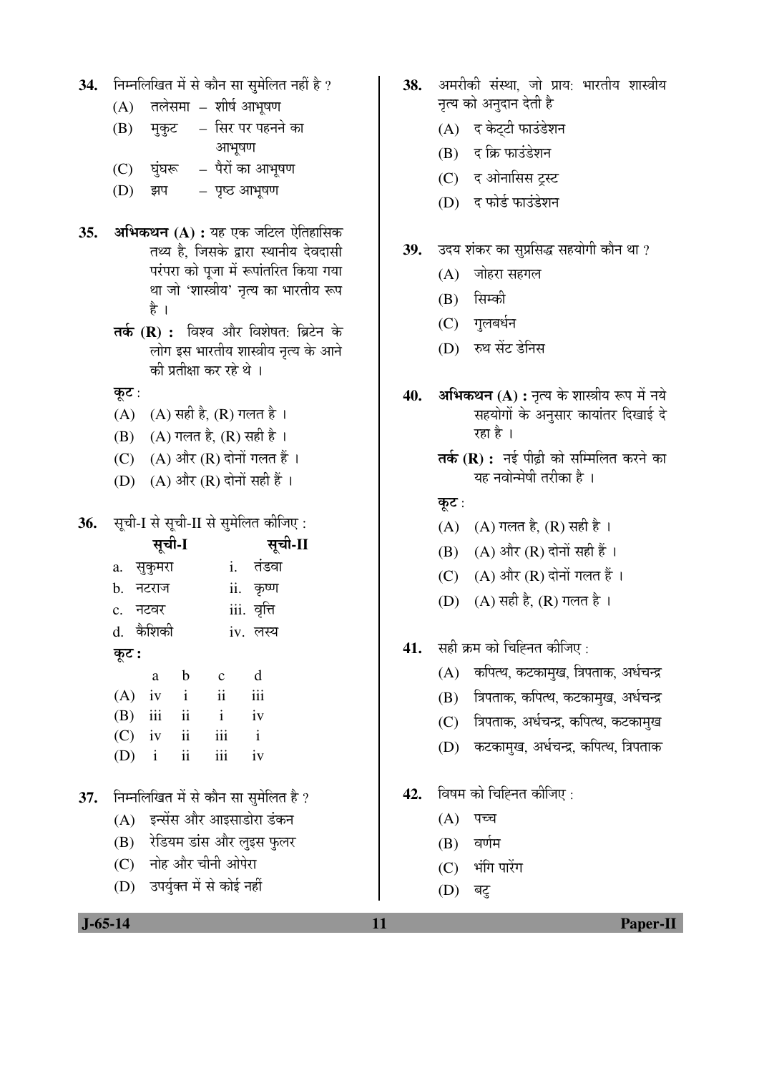- 34. FHHलिखित में से कौन सा सुमेलित नहीं है ?
	- $(A)$  तलेसमा शीर्ष आभूषण
	- (B) मुकुट सिर पर पहनने का आभूषण
	- $(C)$  घंघरू पैरों का आभूषण
	- $(D)$  झप पृष्ठ आभुषण
- **35. अभिकथन (A) :** यह एक जटिल ऐतिहासिक तथ्य है. जिसके द्वारा स्थानीय देवदासी परंपरा को पूजा में रूपांतरित किया गया था जो 'शास्त्रीय' नृत्य का भारतीय रूप है ।
	- **तर्क (R) :** विश्व और विशेषत: ब्रिटेन के लोग इस भारतीय शास्त्रीय नृत्य के आने की प्रतीक्षा कर रहे थे ।
	- कूट:
	- $(A)$   $(A)$  सही है,  $(R)$  गलत है।
	- $(B)$  (A) गलत है,  $(R)$  सही है।
	- $(C)$   $(A)$  और  $(R)$  दोनों गलत हैं।
	- (D)  $(A)$  और  $(R)$  दोनों सही हैं।
- **36.** सूची-I से सूची-II से सुमेलित कीजिए:

|     | सूची-I                           |              |              |                                                                                                                                                                                                                                                                                                                                                                                      |                         | सूची-II |
|-----|----------------------------------|--------------|--------------|--------------------------------------------------------------------------------------------------------------------------------------------------------------------------------------------------------------------------------------------------------------------------------------------------------------------------------------------------------------------------------------|-------------------------|---------|
|     |                                  | a. सुकुमरा   |              |                                                                                                                                                                                                                                                                                                                                                                                      | i. तंडवा                |         |
|     | b. नटराज                         |              |              |                                                                                                                                                                                                                                                                                                                                                                                      | ii. कृष्ण               |         |
|     | c. नटवर                          |              |              |                                                                                                                                                                                                                                                                                                                                                                                      | iii. वृत्ति             |         |
|     |                                  | d. कैशिकी    |              |                                                                                                                                                                                                                                                                                                                                                                                      | iv. लस्य                |         |
|     | कूट :                            |              |              |                                                                                                                                                                                                                                                                                                                                                                                      |                         |         |
|     |                                  | a            | $\mathbf{b}$ | $c$ d                                                                                                                                                                                                                                                                                                                                                                                |                         |         |
|     |                                  | $(A)$ iv i   |              | $\overline{\mathbf{ii}}$                                                                                                                                                                                                                                                                                                                                                             | $\overline{\text{iii}}$ |         |
|     |                                  | $(B)$ iii ii |              | $\mathbf{i}$                                                                                                                                                                                                                                                                                                                                                                         | iv                      |         |
|     |                                  | $(C)$ iv ii  |              | $iii$ $i$                                                                                                                                                                                                                                                                                                                                                                            |                         |         |
|     |                                  | $(D)$ i ii   |              | iii iv                                                                                                                                                                                                                                                                                                                                                                               |                         |         |
|     |                                  |              |              |                                                                                                                                                                                                                                                                                                                                                                                      |                         |         |
| 37. |                                  |              |              | निम्नलिखित में से कौन सा सुमेलित है ?                                                                                                                                                                                                                                                                                                                                                |                         |         |
|     |                                  |              |              | (A) इन्सेंस और आइसाडोरा डंकन                                                                                                                                                                                                                                                                                                                                                         |                         |         |
|     |                                  |              |              | (B) रेडियम डांस और लुइस फुलर                                                                                                                                                                                                                                                                                                                                                         |                         |         |
|     |                                  |              |              | (C) नोह और चीनी ओपेरा                                                                                                                                                                                                                                                                                                                                                                |                         |         |
|     | $\left( \mathbf{\Gamma} \right)$ |              |              | $\overline{a}$ $\overline{a}$ $\overline{a}$ $\overline{a}$ $\overline{a}$ $\overline{a}$ $\overline{a}$ $\overline{a}$ $\overline{a}$ $\overline{a}$ $\overline{a}$ $\overline{a}$ $\overline{a}$ $\overline{a}$ $\overline{a}$ $\overline{a}$ $\overline{a}$ $\overline{a}$ $\overline{a}$ $\overline{a}$ $\overline{a}$ $\overline{a}$ $\overline{a}$ $\overline{a}$ $\overline{$ |                         |         |

(D) उपयुक्त में से कोई नही

- 38. अमरीकी संस्था, जो प्राय: भारतीय शास्त्रीय नृत्य को अनुदान देती है<sup>.</sup>
	- (A) द केट्टी फाउंडेशन
	- $(B)$  द क्रि फाउंडेशन
	- (C) द ओनासिस ट्रस्ट
	- (D) द फोर्ड फाउंडेशन
- 39. उदय शंकर का सुप्रसिद्ध सहयोगी कौन था ?
	- $(A)$  जोहरा सहगल
	- $(B)$  सिम्की
	- (C) गुलबर्धन
	- (D) रुथ सेंट डेनिस
- **40. अभिकथन (A) :** नृत्य के शास्त्रीय रूप में नये सहयोगों के अनुसार कायांतर दिखाई दे रहा है ।
	- **तर्क (R) :** नई पीढी को सम्मिलित करने का यह नवोन्मेषी तरीका है ।
	- कूट $:$
	- (A) (A) गलत है, (R) सही है ।
	- $(B)$   $(A)$  और  $(R)$  दोनों सही हैं ।
	- (C)  $(A)$  और  $(R)$  दोनों गलत हैं।
	- (D) (A) सही है, (R) गलत है।
- **41.** सही क्रम को चिह्नित कीजिए :
	- (A) कपित्थ, कटकामुख, त्रिपताक, अर्धचन्द्र
	- (B) त्रिपताक, कपित्थ, कटकामुख, अर्धचन्द्र
	- (C) त्रिपताक, अर्धचन्द्र, कपित्थ, कटकामुख
	- (D) कटकामुख, अर्धचन्द्र, कपित्थ, त्रिपताक
- **42.** विषम को चिह्नित कीजिए :
	- $(A)$  पच्च
	- $(B)$  वर्णम
	- $(C)$  भंगि पारेंग
	- $(D)$  बट्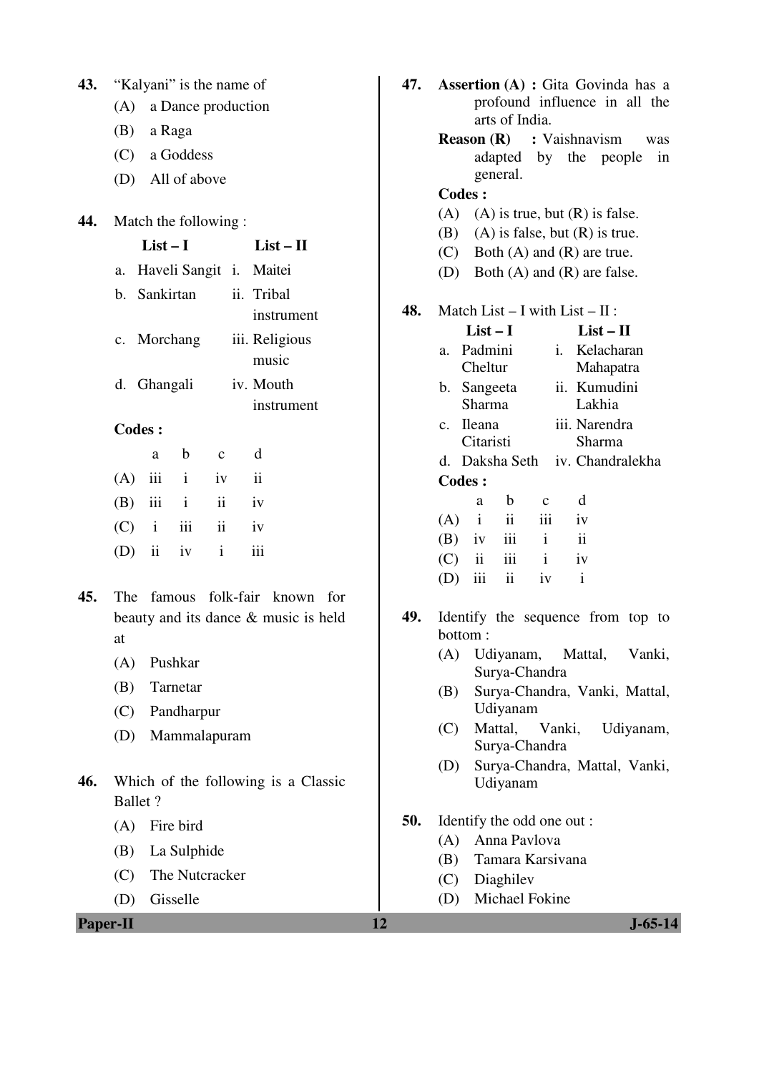| 43. | "Kalyani" is the name of                                 |  |  |  |  |
|-----|----------------------------------------------------------|--|--|--|--|
|     | (A) a Dance production                                   |  |  |  |  |
|     | (B) a Raga                                               |  |  |  |  |
|     | $(C)$ a Goddess                                          |  |  |  |  |
|     | (D) All of above                                         |  |  |  |  |
|     |                                                          |  |  |  |  |
| 44. | Match the following:<br>$List-I$<br>$List - II$          |  |  |  |  |
|     |                                                          |  |  |  |  |
|     | Haveli Sangit i. Maitei<br>a.<br>b. Sankirtan ii. Tribal |  |  |  |  |
|     | instrument                                               |  |  |  |  |
|     | c. Morchang iii. Religious                               |  |  |  |  |
|     | music                                                    |  |  |  |  |
|     | d. Ghangali iv. Mouth                                    |  |  |  |  |
|     | instrument                                               |  |  |  |  |
|     | <b>Codes:</b>                                            |  |  |  |  |
|     | b c d<br>a                                               |  |  |  |  |
|     | $(A)$ iii i iv ii                                        |  |  |  |  |
|     | ii iv<br>$(B)$ iii i                                     |  |  |  |  |
|     | $(C)$ i iii ii iv                                        |  |  |  |  |
|     | (D) ii iv $i$<br>iii                                     |  |  |  |  |
| 45. | The famous folk-fair known<br>for                        |  |  |  |  |
|     | beauty and its dance $\&$ music is held                  |  |  |  |  |
|     | at                                                       |  |  |  |  |
|     | (A) Pushkar                                              |  |  |  |  |
|     | (B) Tarnetar                                             |  |  |  |  |
|     | (C) Pandharpur                                           |  |  |  |  |
|     | (D) Mammalapuram                                         |  |  |  |  |
|     |                                                          |  |  |  |  |
| 46. | Which of the following is a Classic<br><b>Ballet</b> ?   |  |  |  |  |
|     |                                                          |  |  |  |  |
|     | $(A)$ Fire bird                                          |  |  |  |  |
|     | (B) La Sulphide<br>(C) The Nutcracker                    |  |  |  |  |
|     | (D) Gisselle                                             |  |  |  |  |
|     |                                                          |  |  |  |  |

| 43.      | "Kalyani" is the name of<br>(A)                                              | 47. | <b>Assertion (A) : Gita Govinda has a</b><br>profound influence in all the                                  |
|----------|------------------------------------------------------------------------------|-----|-------------------------------------------------------------------------------------------------------------|
|          | a Dance production<br>(B)                                                    |     | arts of India.                                                                                              |
|          | a Raga<br>(C)<br>a Goddess                                                   |     | <b>Reason</b> $(R)$<br>: Vaishnavism<br>was                                                                 |
|          | All of above                                                                 |     | by<br>adapted<br>the<br>people<br>in<br>general.                                                            |
|          | (D)                                                                          |     | <b>Codes:</b>                                                                                               |
| 44.      | Match the following:                                                         |     | (A)<br>$(A)$ is true, but $(R)$ is false.                                                                   |
|          | $List-I$<br>$List - II$                                                      |     | (B)<br>$(A)$ is false, but $(R)$ is true.<br>Both $(A)$ and $(R)$ are true.<br>(C)                          |
|          | Haveli Sangit i.<br>Maitei<br>a.                                             |     | (D)<br>Both $(A)$ and $(R)$ are false.                                                                      |
|          | b. Sankirtan<br>ii. Tribal<br>instrument                                     | 48. | Match List $- I$ with List $- II$ :                                                                         |
|          | iii. Religious<br>Morchang<br>c.<br>music                                    |     | $List - II$<br>$List-I$<br>Padmini<br>Kelacharan<br>$\mathbf{i}$ .<br>a.                                    |
|          | d. Ghangali<br>iv. Mouth<br>instrument                                       |     | Cheltur<br>Mahapatra<br>ii. Kumudini<br>Sangeeta<br>b.<br>Sharma<br>Lakhia                                  |
|          | <b>Codes:</b>                                                                |     | iii. Narendra<br><b>Ileana</b><br>$\mathbf{c}$ .<br>Citaristi<br>Sharma                                     |
|          | d<br>$\mathbf b$<br>$\mathbf{C}$<br>a                                        |     | d. Daksha Seth<br>iv. Chandralekha                                                                          |
|          | iii<br>$\mathbf{i}$<br>$\overline{\mathbf{u}}$<br>(A)<br>iv                  |     | <b>Codes:</b>                                                                                               |
|          | iii<br>$\ddot{\mathbf{i}}$<br>(B)<br>$\mathbf{i}$<br>iv                      |     | d<br>b<br>a<br>$\mathbf{C}$                                                                                 |
|          | $\ddot{\rm n}$<br>iii<br>(C)<br>$\mathbf{i}$<br>iv                           |     | ii<br>$\mathbf{i}$<br>iii<br>(A)<br>iv<br>iii                                                               |
|          | iii<br>$\mathbf{i}$<br>ii<br>(D)<br>iv                                       |     | $\mathbf{i}$<br>$\ddot{\rm n}$<br>(B)<br>iv<br>$\overline{\textbf{ii}}$<br>iii<br>(C)<br>$\mathbf{i}$<br>iv |
|          |                                                                              |     | $\rm iii$<br>ii<br>$\rm i$<br>(D)<br>iv                                                                     |
| 45.      | famous folk-fair known<br>The<br>for<br>beauty and its dance & music is held | 49. | Identify the sequence from top to                                                                           |
|          | at                                                                           |     | bottom:<br>Udiyanam,<br>Mattal,<br>Vanki,<br>(A)                                                            |
|          | Pushkar<br>(A)                                                               |     | Surya-Chandra                                                                                               |
|          | Tarnetar<br>(B)                                                              |     | Surya-Chandra, Vanki, Mattal,<br>(B)<br>Udiyanam                                                            |
|          | Pandharpur<br>(C)<br>(D)<br>Mammalapuram                                     |     | Mattal,<br>Vanki,<br>Udiyanam,<br>(C)                                                                       |
|          |                                                                              |     | Surya-Chandra<br>Surya-Chandra, Mattal, Vanki,<br>(D)                                                       |
| 46.      | Which of the following is a Classic<br><b>Ballet</b> ?                       |     | Udiyanam                                                                                                    |
|          | (A)<br>Fire bird                                                             | 50. | Identify the odd one out:                                                                                   |
|          | La Sulphide<br>(B)                                                           |     | Anna Pavlova<br>(A)                                                                                         |
|          | The Nutcracker<br>(C)                                                        |     | Tamara Karsivana<br>(B)<br>Diaghilev<br>(C)                                                                 |
|          | Gisselle<br>(D)                                                              |     | Michael Fokine<br>(D)                                                                                       |
| Paper-II |                                                                              | 12  | $J - 65 - 14$                                                                                               |
|          |                                                                              |     |                                                                                                             |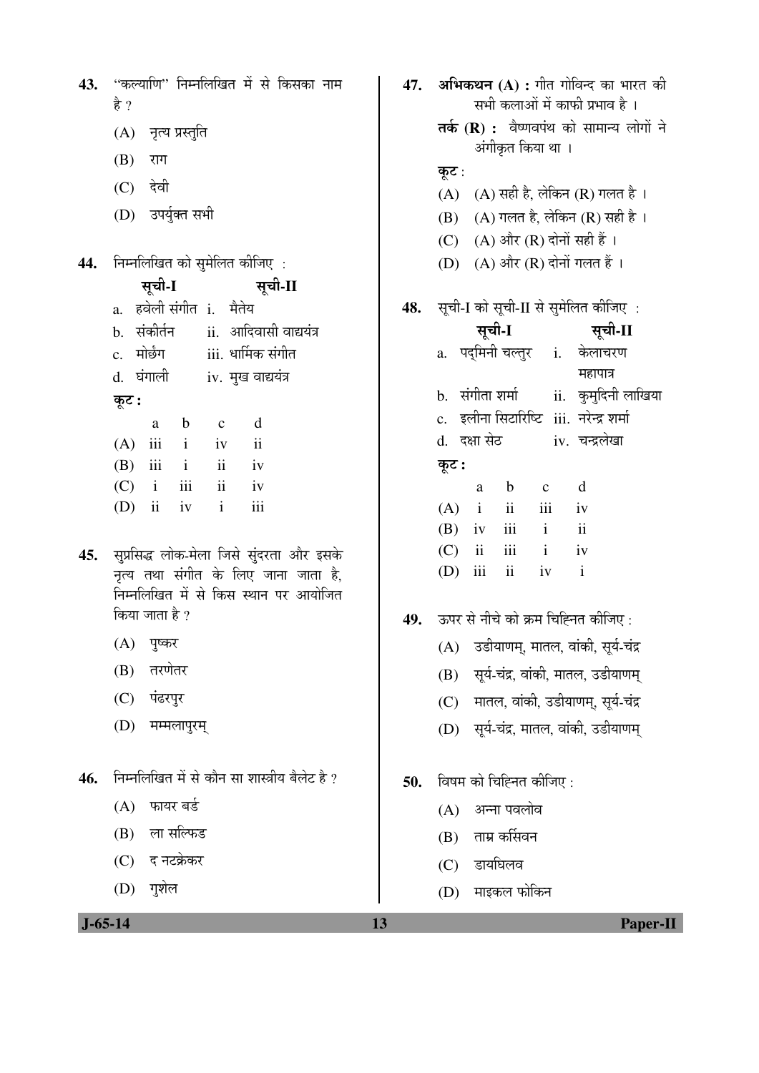|      | 43. ''कल्याणि'' निम्नलिखित में से किसका नाम |  |  |
|------|---------------------------------------------|--|--|
| है ? |                                             |  |  |

- (A) नृत्य प्रस्तुति
- (B) राग
- $(C)$  देवी
- (D) उपर्युक्त सभी

निम्नलिखित को सुमेलित कीजिए : 44.

> सची-I सची-II

- a. हवेली संगीत i. मैतेय
- b. संकोर्तन ii. आदिवासी वाद्ययंत्र
- iii. धार्मिक संगीत c. मोर्छंग
- d. घंगाली iv. मुख वाद्ययंत्र
- कूट :

|             | a | h   | $\mathbf{c}$ | d   |
|-------------|---|-----|--------------|-----|
| $(A)$ iii i |   |     | iv           | ii  |
| $(B)$ iii i |   |     | ii           | iv  |
| $(C)$ i     |   | iii | ii           | iv  |
| $(D)$ ii iv |   |     | $\mathbf{i}$ | iii |

- 45. सुप्रसिद्ध लोक-मेला जिसे सुंदरता और इसके नृत्य तथा संगीत के लिए जाना जाता है. निम्नलिखित में से किस स्थान पर आयोजित किया जाता है ?
	- $(A)$  पुष्कर
	- $(B)$  तरणेतर
	- (C) पंढरपुर
	- (D) मम्मलापुरम्
- निम्नलिखित में से कौन सा शास्त्रीय बैलेट है ? 46.
	- $(A)$  फायर बर्ड
	- $(B)$  ला सल्फिड
	- (C) द नटक्रेकर
	- $(D)$  गृशेल

## 47. अभिकथन (A) : गीत गोविन्द का भारत की सभी कलाओं में काफी प्रभाव है । तर्क (R) : वैष्णवपंथ को सामान्य लोगों ने अंगीकृत किया था । कूट :  $(A)$   $(A)$  सही है, लेकिन  $(R)$  गलत है। (B) (A) गलत है, लेकिन (R) सही है। (C) (A) और (R) दोनों सही हैं । (D)  $(A)$  और  $(R)$  दोनों गलत हैं। सूची-I को सूची-II से सुमेलित कीजिए : 48. सची-I सूची-II a. पदमिनी चल्तुर i. केलाचरण महापात्र ii. कुमुदिनी लाखिया b. संगीता शर्मा

- c. इलीना सिटारिष्टि iii. नरेन्द्र शर्मा iv चन्द्रलेखा d. दक्षा सेठ
- कूट :

| a            | b                       | $\mathbf{c}$ | d             |
|--------------|-------------------------|--------------|---------------|
| $(A)$ i      | $\overline{\mathbf{u}}$ | iii          | iv            |
| $(B)$ iv iii |                         | $\mathbf{i}$ | $\mathbf{ii}$ |
| $(C)$ ii iii |                         | $\mathbf{i}$ | iv            |
| $(D)$ iii    | $\overline{\mathbf{u}}$ | iv           | $\mathbf{i}$  |

- ऊपर से नीचे को क्रम चिह्नित कीजिए : 49.
	- (A) उडीयाणम्, मातल, वांकी, सूर्य-चंद्र
	- (B) सूर्य-चंद्र, वांकी, मातल, उडीयाणम्
	- (C) मातल, वांकी, उडीयाणम्, सूर्य-चंद्र
	- (D) सूर्य-चंद्र, मातल, वांकी, उडीयाणम्
- विषम को चिह्नित कीजिए : 50.
	- (A) अन्ना पवलोव
	- (B) ताम्र कर्सिवन
	- (C) डायघिलव

13

(D) माइकल फोकिन

 $J - 65 - 14$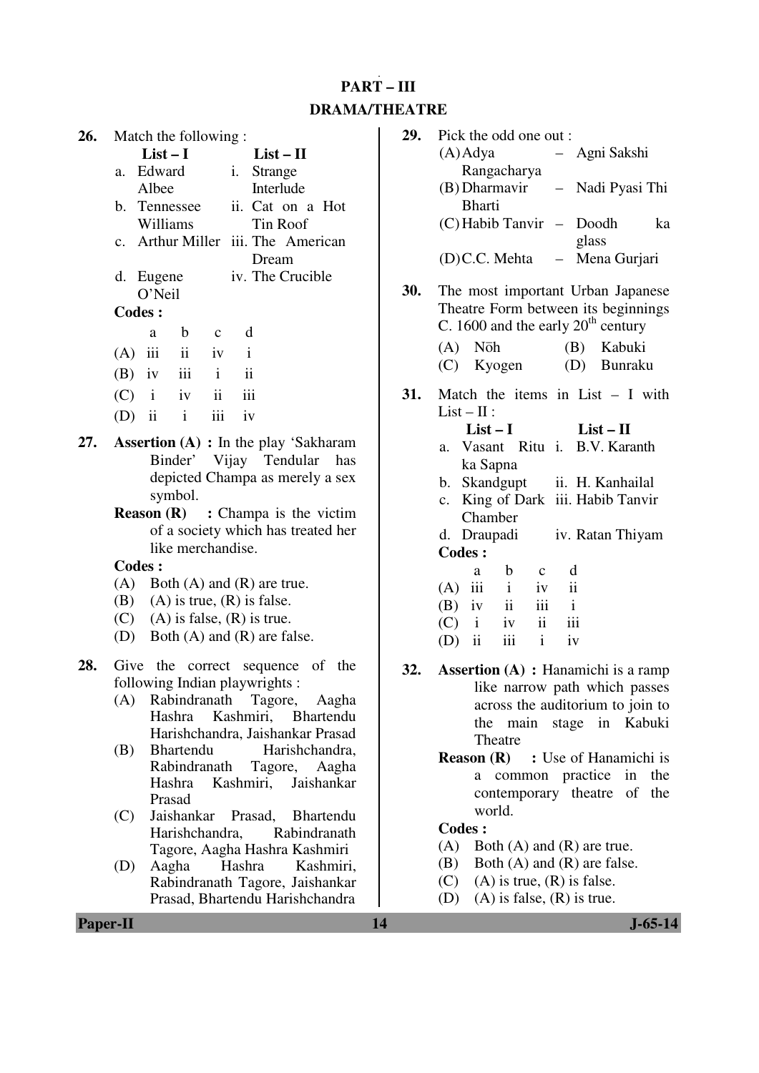# **PART – III DRAMA/THEATRE**

| 26. |                                                       | Match the following: |                   |              |                          |                                                 |  |
|-----|-------------------------------------------------------|----------------------|-------------------|--------------|--------------------------|-------------------------------------------------|--|
|     |                                                       | $List-I$             |                   |              |                          | $List-II$                                       |  |
|     | a.                                                    | Edward               |                   |              | i.                       | Strange                                         |  |
|     |                                                       | Albee                |                   |              |                          | Interlude                                       |  |
|     |                                                       | b. Tennessee         |                   |              |                          | ii. Cat on a Hot                                |  |
|     |                                                       | Williams             |                   |              |                          | Tin Roof                                        |  |
|     |                                                       |                      |                   |              |                          | c. Arthur Miller iii. The American              |  |
|     |                                                       |                      |                   |              |                          | Dream                                           |  |
|     |                                                       | d. Eugene            |                   |              |                          | iv. The Crucible                                |  |
|     |                                                       | O'Neil               |                   |              |                          |                                                 |  |
|     |                                                       | <b>Codes:</b>        |                   |              |                          |                                                 |  |
|     |                                                       | a                    | $\mathbf{b}$      | $\mathbf{C}$ | $\mathbf d$              |                                                 |  |
|     |                                                       | $(A)$ iii ii iv      |                   |              | $\mathbf{i}$             |                                                 |  |
|     |                                                       | $(B)$ iv iii i       |                   |              | $\overline{\mathbf{ii}}$ |                                                 |  |
|     |                                                       | $(C)$ i iv ii iii    |                   |              |                          |                                                 |  |
|     |                                                       | $(D)$ ii             | $\mathbf{i}$      | iii          | iv                       |                                                 |  |
| 27. |                                                       |                      |                   |              |                          | <b>Assertion</b> $(A)$ : In the play 'Sakharam' |  |
|     |                                                       |                      |                   |              |                          | Binder' Vijay Tendular has                      |  |
|     |                                                       |                      |                   |              |                          | depicted Champa as merely a sex                 |  |
|     |                                                       |                      | symbol.           |              |                          |                                                 |  |
|     | <b>Reason <math>(R)</math></b> : Champa is the victim |                      |                   |              |                          |                                                 |  |
|     |                                                       |                      |                   |              |                          | of a society which has treated her              |  |
|     |                                                       |                      | like merchandise. |              |                          |                                                 |  |
|     |                                                       | Codes :              |                   |              |                          |                                                 |  |
|     |                                                       |                      |                   |              |                          |                                                 |  |

- (A) Both (A) and (R) are true.
- (B) (A) is true,  $(R)$  is false.
- (C) (A) is false,  $(R)$  is true.
- (D) Both (A) and (R) are false.
- **28.** Give the correct sequence of the following Indian playwrights :
	- (A) Rabindranath Tagore, Aagha Hashra Kashmiri, Bhartendu Harishchandra, Jaishankar Prasad
	- (B) Bhartendu Harishchandra, Rabindranath Tagore, Aagha Hashra Kashmiri, Jaishankar Prasad
	- (C) Jaishankar Prasad, Bhartendu Harishchandra. Tagore, Aagha Hashra Kashmiri
	- (D) Aagha Hashra Kashmiri, Rabindranath Tagore, Jaishankar Prasad, Bhartendu Harishchandra

| 29. | Pick the odd one out:                                     |                                                                          |
|-----|-----------------------------------------------------------|--------------------------------------------------------------------------|
|     | $(A)$ Adya                                                | Agni Sakshi                                                              |
|     | Rangacharya                                               |                                                                          |
|     | (B) Dharmavir                                             | $\equiv$<br>Nadi Pyasi Thi                                               |
|     | <b>Bharti</b>                                             |                                                                          |
|     | (C) Habib Tanvir –                                        | Doodh<br>ka                                                              |
|     | (D)C.C. Mehta                                             | glass<br>Mena Gurjari                                                    |
| 30. | C. 1600 and the early $20th$ century                      | The most important Urban Japanese<br>Theatre Form between its beginnings |
|     | Nōh<br>(A)                                                | (B) Kabuki                                                               |
|     | (C) Kyogen                                                | (D) Bunraku                                                              |
| 31. | $List - II$ :                                             | Match the items in List $- I$ with                                       |
|     | $List-I$                                                  | $List-II$                                                                |
|     | Vasant Ritu i.<br>a.                                      | <b>B.V.</b> Karanth                                                      |
|     | ka Sapna                                                  |                                                                          |
|     | b. Skandgupt ii. H. Kanhailal                             |                                                                          |
|     |                                                           | c. King of Dark iii. Habib Tanvir                                        |
|     | Chamber                                                   |                                                                          |
|     | d. Draupadi                                               | iv. Ratan Thiyam                                                         |
|     | <b>Codes:</b>                                             |                                                                          |
|     | $\mathbf{b}$<br>a<br>$\mathbf{C}$                         | d                                                                        |
|     | $(A)$ iii i<br>iv<br>$(B)$ iv ii                          | $\mathbf{ii}$<br>$\mathbf{i}$                                            |
|     | iii<br>$\ddot{\mathbf{i}}$<br>iv                          | iii                                                                      |
|     | $\overrightarrow{C}$ i<br>$(D)$ ii<br>$\mathbf{i}$<br>iii | iv                                                                       |
|     |                                                           |                                                                          |
| 32. |                                                           | <b>Assertion (A)</b> : Hanamichi is a ramp                               |
|     |                                                           | like narrow path which passes                                            |
|     |                                                           | across the auditorium to join to                                         |
|     | main<br>the                                               | stage<br>in Kabuki                                                       |
|     | Theatre                                                   |                                                                          |

**Reason (R)** : Use of Hanamichi is a common practice in the contemporary theatre of the world.

- (A) Both (A) and (R) are true.
- (B) Both (A) and (R) are false.
- (C) (A) is true,  $(R)$  is false.
- (D) (A) is false,  $(R)$  is true.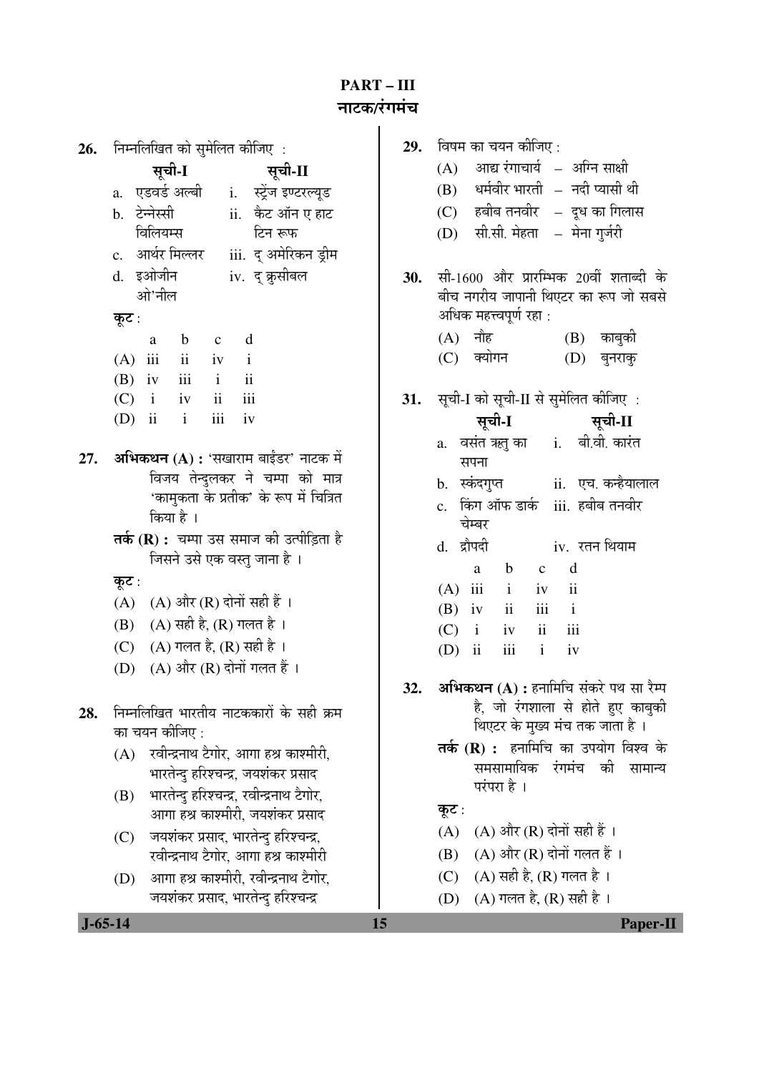# **PART – III**  ®ÖÖ™üÛú**/**¸ÓüÝÖ´ÖÓ"Ö

| 26. | निम्नलिखित को सुमेलित कीजिए :                                              | 29. | विषम का चयन कीजिए :                                         |
|-----|----------------------------------------------------------------------------|-----|-------------------------------------------------------------|
|     | सूची-I<br>सूची-II                                                          |     | आद्य रंगाचार्य – अग्नि साक्षी<br>(A)                        |
|     | a.   एडवर्ड अल्बी<br>i. स्ट्रेंज इण्टरल्यूड                                |     | धर्मवीर भारती – नदी प्यासी थी<br>(B)                        |
|     | b. टेन्नेस्सी<br>ii. केट ऑन ए हाट                                          |     | हबीब तनवीर – दूध का गिलास<br>(C)                            |
|     | विलियम्स<br>टिन रूफ                                                        |     | सी.सी. मेहता – मेना गुर्जरी<br>(D)                          |
|     | iii. द् अमेरिकन ड्रीम<br>c. आर्थर मिल्लर                                   |     |                                                             |
|     | d. इओजीन<br>iv. द् क्रुसीबल                                                | 30. | सी-1600 और प्रारम्भिक 20वीं शताब्दी के                      |
|     | ओ'नील                                                                      |     | बीच नगरीय जापानी थिएटर का रूप जो सबसे                       |
|     | कूट :                                                                      |     | अधिक महत्त्वपूर्ण रहा :                                     |
|     | d<br>$\mathbf b$<br>a<br>$\mathbf c$                                       |     | (A) नौह<br>$(B)$ काबुकी                                     |
|     | $\overline{\mathbf{1}}$<br>(A)<br>iii<br>iv<br>$\mathbf{i}$                |     | (C) क्योगन<br>(D)<br>बुनराकु                                |
|     | $\mathbf{ii}$<br>iii<br>$(B)$ iv<br>$\mathbf{i}$                           |     |                                                             |
|     | iii<br>ii<br>(C)<br>$\mathbf{i}$<br>iv                                     | 31. | सूची-I को सूची-II से सुमेलित कीजिए :                        |
|     | iii<br>$(D)$ ii<br>$\mathbf{i}$<br>iv                                      |     | सूची-I<br>सूची-II                                           |
|     |                                                                            |     | a. वसंत ऋतु का i. बी.वी. कारंत                              |
| 27. | अभिकथन (A) : 'सखाराम बाईंडर' नाटक में                                      |     | सपना                                                        |
|     | विजय तेन्दुलकर ने चम्पा को मात्र<br>'कामुकता के प्रतीक' के रूप में चित्रित |     | b. स्कंदगुप्त        ii. एच. कन्हैयालाल                     |
|     | किया है ।                                                                  |     | c. किंग ऑफ डार्क iii. हबीब तनवीर                            |
|     | <b>तर्क (R) :</b> चम्पा उस समाज की उत्पीड़िता है                           |     | चेम्बर                                                      |
|     | जिसने उसे एक वस्तु जाना है।                                                |     | d. द्रौपदी<br>iv. रतन थियाम                                 |
|     | कूट :                                                                      |     | d<br>$\mathbf b$<br>a<br>$\mathbf{C}$                       |
|     | $(A)$ और $(R)$ दोनों सही हैं ।<br>(A)                                      |     | $(A)$ iii<br>$\overline{\mathbf{i}}$<br>$\mathbf{i}$<br>iv  |
|     | $(A)$ सही है, $(R)$ गलत है ।<br>(B)                                        |     | $\rm ii$<br>$\rm iii$<br>$\mathbf{i}$<br>$(B)$ iv           |
|     | $(A)$ गलत है, (R) सही है ।<br>(C)                                          |     | $\ddot{\rm n}$<br>iii<br>(C)<br>$\mathbf{i}$<br>iv          |
|     | $(A)$ और $(R)$ दोनों गलत हैं।<br>(D)                                       |     | iii<br>$\mathbf{i}$<br>$\overline{\mathbf{u}}$<br>(D)<br>iv |
|     |                                                                            | 32. | <b>अभिकथन (A) :</b> हनामिचि संकरे पथ सा रैम्प               |
| 28. | निम्नलिखित भारतीय नाटककारों के सही क्रम                                    |     | है, जो रंगशाला से होते हुए काबुकी                           |
|     | का चयन कीजिए :                                                             |     | थिएटर के मुख्य मंच तक जाता है ।                             |
|     | रवीन्द्रनाथ टैगोर, आगा हश्र काश्मीरी,<br>(A)                               |     | तर्क (R) : हनामिचि का उपयोग विश्व के                        |
|     | भारतेन्दु हरिश्चन्द्र, जयशंकर प्रसाद                                       |     | समसामायिक<br>रंगमंच<br>की<br>सामान्य                        |
|     | भारतेन्दु हरिश्चन्द्र, रवीन्द्रनाथ टैगोर,<br>(B)                           |     | परंपरा है ।                                                 |
|     | आगा हश्र काश्मीरी, जयशंकर प्रसाद                                           |     | कूट :                                                       |
|     | जयशंकर प्रसाद, भारतेन्दु हरिश्चन्द्र,<br>(C)                               |     | $(A)$ और $(R)$ दोनों सही हैं ।<br>(A)                       |
|     | रवीन्द्रनाथ टैगोर, आगा हश्र काश्मीरी                                       |     | $(A)$ और $(R)$ दोनों गलत हैं ।<br>(B)                       |
|     | आगा हश्र काश्मीरी, रवीन्द्रनाथ टैगोर,<br>(D)                               |     | $(A)$ सही है, $(R)$ गलत है ।<br>(C)                         |
|     | जयशंकर प्रसाद, भारतेन्दु हरिश्चन्द्र                                       |     | $(A)$ गलत है, $(R)$ सही है ।<br>(D)                         |
|     | $J - 65 - 14$                                                              | 15  | <b>Paper-Il</b>                                             |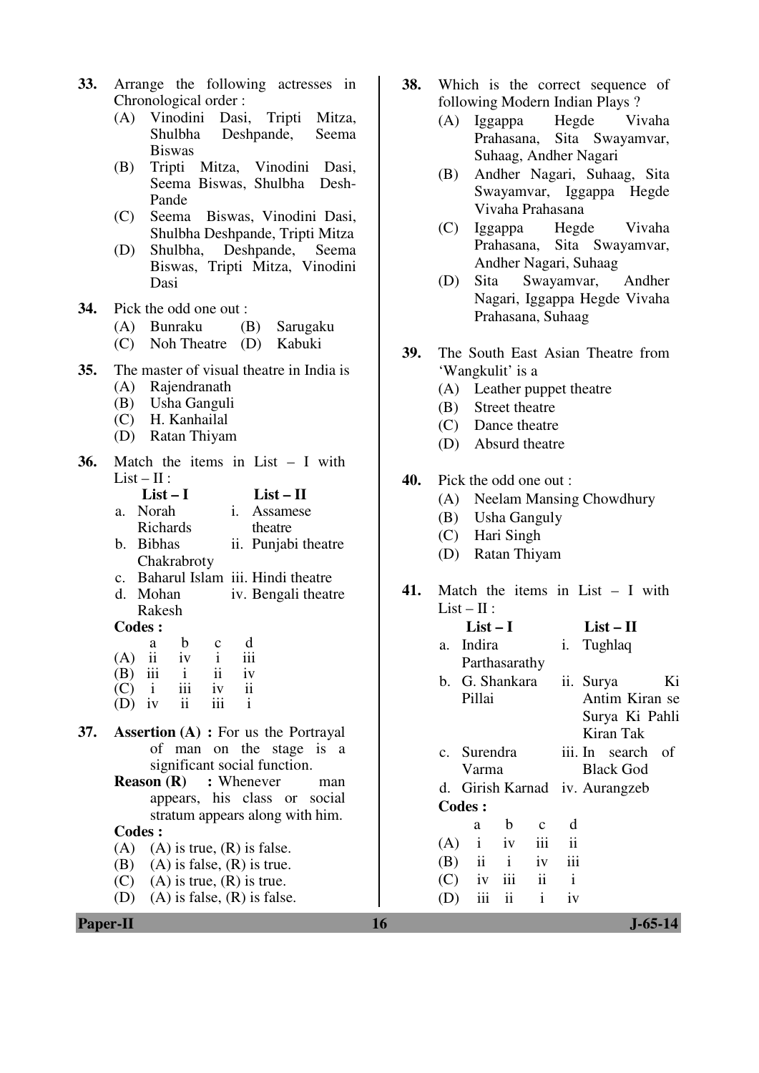- **33.** Arrange the following actresses in Chronological order :
	- (A) Vinodini Dasi, Tripti Mitza, Shulbha Deshpande, Seema Biswas
	- (B) Tripti Mitza, Vinodini Dasi, Seema Biswas, Shulbha Desh-Pande
	- (C) Seema Biswas, Vinodini Dasi, Shulbha Deshpande, Tripti Mitza
	- (D) Shulbha, Deshpande, Seema Biswas, Tripti Mitza, Vinodini Dasi

**34.** Pick the odd one out :

- (A) Bunraku (B) Sarugaku
- (C) Noh Theatre (D) Kabuki
- **35.** The master of visual theatre in India is
	- (A) Rajendranath
	- (B) Usha Ganguli
	- (C) H. Kanhailal
	- (D) Ratan Thiyam
- **36.** Match the items in List I with  $List - II:$

| $List-I$    | $List - II$         |
|-------------|---------------------|
| a. Norah    | i. Assamese         |
| Richards    | theatre             |
| b. Bibhas   | ii. Punjabi theatre |
| Chakrabroty |                     |

- c. Baharul Islam iii. Hindi theatre
- d. Mohan Rakesh iv. Bengali theatre

#### **Codes :**

|     | a   | b                       | $\mathbf{c}$  | d   |
|-----|-----|-------------------------|---------------|-----|
| (A) | ii  | iv                      |               | iii |
| (B) | iii | $\mathbf{i}$            | $\mathbf{ii}$ | iv  |
| (C) |     | iii                     | iv            | ii  |
| (D) | iv  | $\overline{\mathbf{u}}$ | 111           |     |

- **37. Assertion (A) :** For us the Portrayal of man on the stage is a significant social function.
	- **Reason (R)** : Whenever man appears, his class or social stratum appears along with him.

- $(A)$   $(A)$  is true,  $(R)$  is false.
- (B) (A) is false,  $(R)$  is true.
- (C) (A) is true,  $(R)$  is true.
- (D) (A) is false,  $(R)$  is false.
- **38.** Which is the correct sequence of following Modern Indian Plays ?
	- (A) Iggappa Hegde Vivaha Prahasana, Sita Swayamvar, Suhaag, Andher Nagari
	- (B) Andher Nagari, Suhaag, Sita Swayamvar, Iggappa Hegde Vivaha Prahasana
	- (C) Iggappa Hegde Vivaha Prahasana, Sita Swayamvar, Andher Nagari, Suhaag
	- (D) Sita Swayamvar, Andher Nagari, Iggappa Hegde Vivaha Prahasana, Suhaag
- **39.** The South East Asian Theatre from 'Wangkulit' is a
	- (A) Leather puppet theatre
	- (B) Street theatre
	- (C) Dance theatre
	- (D) Absurd theatre
- **40.** Pick the odd one out :
	- (A) Neelam Mansing Chowdhury
	- (B) Usha Ganguly
	- (C) Hari Singh
	- (D) Ratan Thiyam
- **41.** Match the items in List I with  $List - II:$

| List – I        |                     |              |                  | List – H                       |    |
|-----------------|---------------------|--------------|------------------|--------------------------------|----|
| a. Indira       |                     |              | i.               | Tughlaq                        |    |
| Parthasarathy   |                     |              |                  |                                |    |
| b. G. Shankara  |                     |              | ii. Surya        |                                | Ki |
| Pillai          |                     |              |                  | Antim Kiran se                 |    |
|                 |                     |              |                  | Surya Ki Pahli                 |    |
|                 |                     |              |                  | Kiran Tak                      |    |
| c. Surendra     |                     |              |                  | iii. In search of              |    |
| Varma           |                     |              | <b>Black God</b> |                                |    |
|                 |                     |              |                  | d. Girish Karnad iv. Aurangzeb |    |
| <b>Codes:</b>   |                     |              |                  |                                |    |
| a               | $\mathbf b$         | $\mathbf{c}$ | d                |                                |    |
| $(A)$ i         | iv                  | iii          | $\mathbf{ii}$    |                                |    |
| $(B)$ ii i iv   |                     |              | iii              |                                |    |
| $(C)$ iv iii ii |                     |              | $\mathbf{i}$     |                                |    |
| iii             | $\ddot{\mathbf{i}}$ | $\mathbf{i}$ | iv               |                                |    |
|                 |                     |              |                  |                                |    |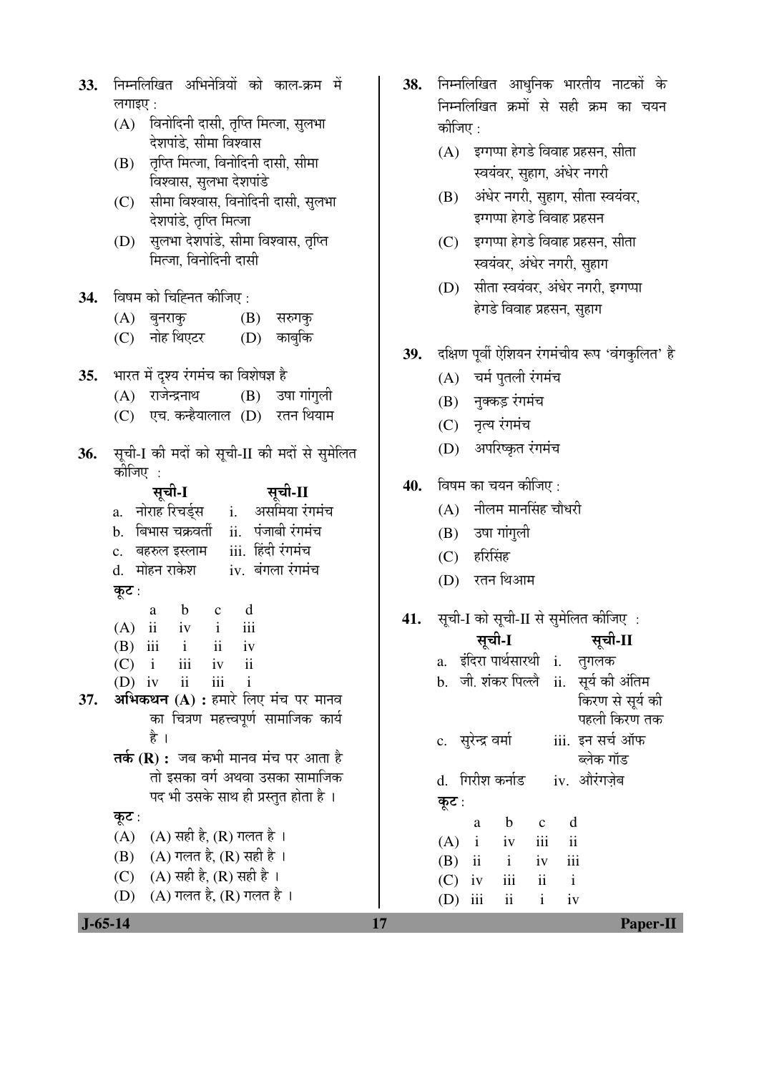| 33.        | निम्नलिखित अभिनेत्रियों को काल-क्रम में                                        | 38. | निम्नलिखि               |
|------------|--------------------------------------------------------------------------------|-----|-------------------------|
|            | लगाइए :                                                                        |     | निम्नलिखि               |
|            | विनोदिनी दासी, तृप्ति मित्जा, सुलभा<br>(A)                                     |     | कोजिए :                 |
|            | देशपांडे, सीमा विश्वास<br>तृप्ति मित्जा, विनोदिनी दासी, सीमा<br>(B)            |     | (A)<br>इग्ग             |
|            | विश्वास, सुलभा देशपांडे                                                        |     | स्वर                    |
|            | सीमा विश्वास, विनोदिनी दासी, सुलभा<br>(C)                                      |     | अंधे<br>(B)             |
|            | देशपांडे, तृप्ति मित्जा                                                        |     | इग्ग                    |
|            | सुलभा देशपांडे, सीमा विश्वास, तृप्ति<br>(D)                                    |     | इग्ग<br>(C)             |
|            | मित्जा, विनोदिनी दासी                                                          |     | स्वर                    |
| <b>34.</b> | विषम को चिह्नित कीजिए :                                                        |     | सीत<br>(D)              |
|            | (B) सरुगकु<br>(A) बुनराकु                                                      |     | हेगः                    |
|            | (C) नोह थिएटर (D) काबुकि                                                       |     |                         |
|            |                                                                                | 39. | दक्षिण पूर्वी           |
| 35.        | भारत में दृश्य रंगमंच का विशेषज्ञ है                                           |     | चर्म<br>(A)             |
|            | (A) राजेन्द्रनाथ (B) उषा गांगुली                                               |     | $(B)$ नुक्              |
|            | (C) एच. कन्हैयालाल (D) रतन थियाम                                               |     | (C)<br>नृत्य            |
| 36.        | सूची-I की मदों को सूची-II की मदों से सुमेलित                                   |     | (D)<br>अप               |
|            | कीजिए                                                                          |     |                         |
|            | सूची-I<br>सूची-II                                                              | 40. | विषम का न               |
|            | नोराह रिचर्ड्स i. असमिया रंगमंच<br>a.                                          |     | नील<br>(A)              |
|            | बिभास चक्रवर्ती ii. पंजाबी रंगमंच<br>$\mathbf{b}$ .                            |     | (B)<br>उषा              |
|            | बहरुल इस्लाम     iii.  हिंदी रंगमंच<br>$\mathbf{c}$ .                          |     | हरि<br>(C)              |
|            | d. मोहन राकेश       iv.  बंगला रंगमंच                                          |     | (D)<br>रतन              |
|            | कूट :<br>$\mathbf{b}$<br>d<br>$\overline{\mathbf{c}}$<br>a                     |     |                         |
|            | $\ddot{\mathbf{i}}$<br>iii<br>(A)<br>$iv$ $i$                                  | 41. | सूची-I को               |
|            | $(B)$ iii i<br>ii iv                                                           |     | सूर                     |
|            | (C)<br>iii<br>$\mathbf{i}$<br>iv<br>$\overline{11}$                            |     | इंदिरा<br>a.            |
| 37.        | iii<br>ii<br>(D)<br>iv<br>$\overline{1}$<br>अभिकथन (A) : हमारे लिए मंच पर मानव |     | जी. शं<br>b.            |
|            | का चित्रण महत्त्वपूर्ण सामाजिक कार्य                                           |     |                         |
|            | है ।                                                                           |     | c. सुरेन्द्र            |
|            | <b>तर्क (R) :</b> जब कभी मानव मंच पर आता है                                    |     |                         |
|            | तो इसका वर्ग अथवा उसका सामाजिक                                                 |     | गिरीश<br>d.             |
|            | पद भी उसके साथ ही प्रस्तुत होता है ।                                           |     | कूट :                   |
|            | कूट :                                                                          |     | a                       |
|            | $(A)$ सही है, $(R)$ गलत है ।<br>(A)<br>$(A)$ गलत है, $(R)$ सही है ।<br>(B)     |     | (A)<br>$\mathbf{i}$     |
|            | (A) सही है, (R) सही है ।<br>(C)                                                |     | $\mathbf{ii}$<br>(B)    |
|            | $(A)$ गलत है, $(R)$ गलत है ।<br>(D)                                            |     | (C)<br>iv<br>iii<br>(D) |
|            |                                                                                |     |                         |

- .<br>त आधुनिक भारतीय नाटकों के त क्रमों से सही क्रम का चयन
	- ,<br>क्या हेगडे विवाह प्रहसन, सीता .<br>यंवर, सुहाग, अंधेर नगरी
	- ।<br>र नगरी, सुहाग, सीता स्वय<mark>ं</mark>वर, <sub>ा</sub><br>प्या हेगडे विवाह प्रहसन
	- ,<br>एपा हेगडे विवाह प्रहसन, सीता यंवर, अंधेर नगरी, सुहाग
	- ता स्वयंवर, अंधेर नगरी, इग्गप्पा डे विवाह प्रहसन, सु<mark>हाग</mark>
- **ऐशियन रंगमंचीय रूप 'वंगकुलित' है** 
	- पुतली रंगमंच
	- कड़ रंगमंच
	- थ रंगमंच
	- ।<br>गरिष्कृत रंगमंच
- .<br>चयन कीजिए :
	- <u>त्र</u>म मानसिंह चौधरी
	- ाांगुली
	- सिंह
	- न थिआम

# **41.** सूची-I को सूची-II से सुमेलित कीजिए :

|       |                    | सूची-I                    |                          |                          | सूची-II                               |
|-------|--------------------|---------------------------|--------------------------|--------------------------|---------------------------------------|
|       |                    |                           |                          |                          | a. इंदिरा पार्थसारथी i. तुगलक         |
|       |                    |                           |                          |                          | b. जी. शंकर पिल्लै ii. सूर्य की अंतिम |
|       |                    |                           |                          |                          | किरण से सूर्य की                      |
|       |                    |                           |                          |                          | पहली किरण तक                          |
|       | c. सुरेन्द्र वर्मा |                           |                          |                          | iii. इन सर्च ऑफ                       |
|       |                    |                           |                          |                          | ब्लेक गॉड                             |
|       |                    | d. गिरीश कर्नाड           |                          |                          | iv. औरंगजेब                           |
| कूट : |                    |                           |                          |                          |                                       |
|       | a                  | $\mathbf b$               | $\mathbf{c}$             | d                        |                                       |
|       | $(A)$ i            | iv                        | iii                      | $\overline{\textbf{ii}}$ |                                       |
|       |                    | $(B)$ ii i iv             |                          | iii                      |                                       |
|       | $(C)$ iv           | $\overline{\mathbf{iii}}$ | $\overline{\mathbf{ii}}$ | $\mathbf{i}$             |                                       |
| (D)   | iii                | $\overline{\mathbf{u}}$   | $\mathbf{i}$             | iv                       |                                       |
|       |                    |                           |                          |                          |                                       |

 **J-65-14 17 Paper-II**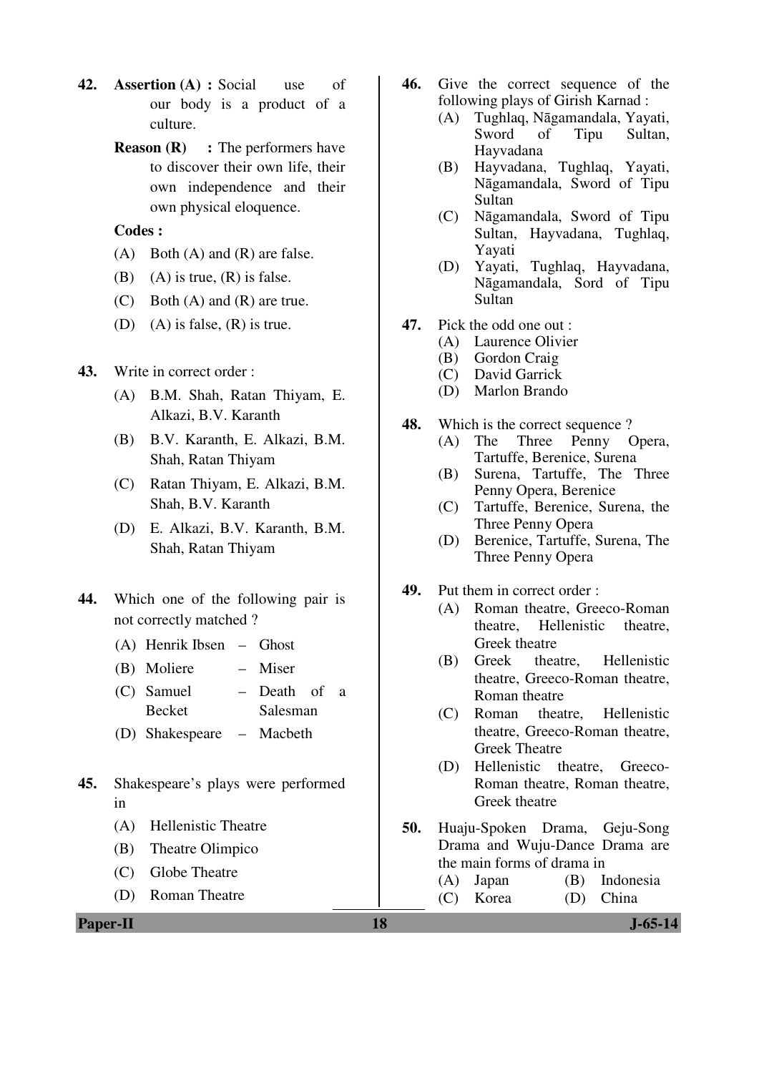- **42. Assertion (A) :** Social use of our body is a product of a culture.
	- **Reason (R)** : The performers have to discover their own life, their own independence and their own physical eloquence.

- $(A)$  Both  $(A)$  and  $(R)$  are false.
- (B) (A) is true,  $(R)$  is false.
- (C) Both (A) and (R) are true.
- (D) (A) is false,  $(R)$  is true.
- **43.** Write in correct order :
	- (A) B.M. Shah, Ratan Thiyam, E. Alkazi, B.V. Karanth
	- (B) B.V. Karanth, E. Alkazi, B.M. Shah, Ratan Thiyam
	- (C) Ratan Thiyam, E. Alkazi, B.M. Shah, B.V. Karanth
	- (D) E. Alkazi, B.V. Karanth, B.M. Shah, Ratan Thiyam
- **44.** Which one of the following pair is not correctly matched ?
	- (A) Henrik Ibsen Ghost
	- (B) Moliere Miser
	- (C) Samuel Becket – Death of a Salesman
	- (D) Shakespeare Macbeth
- **45.** Shakespeare's plays were performed in
	- (A) Hellenistic Theatre
	- (B) Theatre Olimpico
	- (C) Globe Theatre
	- (D) Roman Theatre
- **46.** Give the correct sequence of the following plays of Girish Karnad :
	- (A) Tughlaq, Nāgamandala, Yayati, Sword of Tipu Sultan, Hayvadana
	- (B) Hayvadana, Tughlaq, Yayati, Nāgamandala, Sword of Tipu Sultan
	- (C) Nāgamandala, Sword of Tipu Sultan, Hayvadana, Tughlaq, Yayati
	- (D) Yayati, Tughlaq, Hayvadana, Nāgamandala, Sord of Tipu Sultan
- **47.** Pick the odd one out :
	- (A) Laurence Olivier
	- (B) Gordon Craig
	- (C) David Garrick
	- (D) Marlon Brando
- **48.** Which is the correct sequence ?
	- (A) The Three Penny Opera, Tartuffe, Berenice, Surena
	- (B) Surena, Tartuffe, The Three Penny Opera, Berenice
	- (C) Tartuffe, Berenice, Surena, the Three Penny Opera
	- (D) Berenice, Tartuffe, Surena, The Three Penny Opera
- **49.** Put them in correct order :
	- (A) Roman theatre, Greeco-Roman theatre, Hellenistic theatre, Greek theatre
	- (B) Greek theatre, Hellenistic theatre, Greeco-Roman theatre, Roman theatre
	- (C) Roman theatre, Hellenistic theatre, Greeco-Roman theatre, Greek Theatre
	- (D) Hellenistic theatre, Greeco-Roman theatre, Roman theatre, Greek theatre
- **50.** Huaju-Spoken Drama, Geju-Song Drama and Wuju-Dance Drama are the main forms of drama in (A) Japan (B) Indonesia (C) Korea (D) China
	-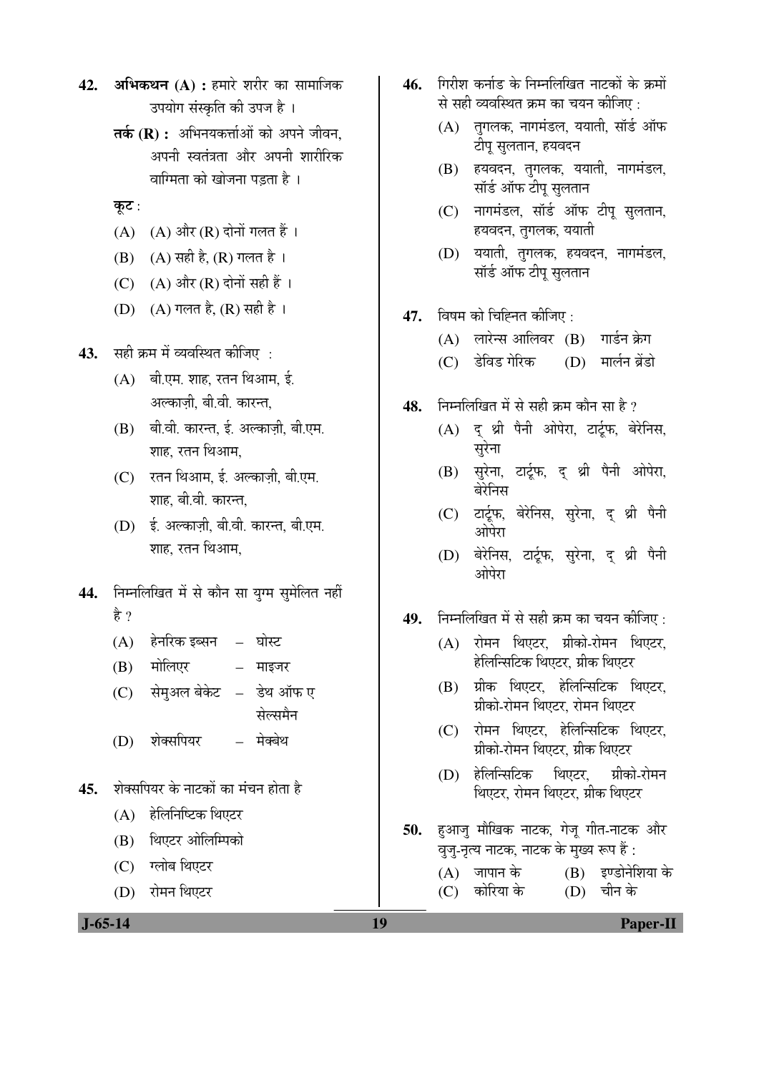- **42. अभिकथन (A) :** हमारे शरीर का सामाजिक उपयोग संस्कृति की उपज है ।
	- **तर्क (R) :** अभिनयकर्त्ताओं को अपने जीवन. अपनी स्वतंत्रता और अपनी शारीरिक वाग्मिता को खोजना पड़ता है $\pm$

## कूट:

- $(A)$   $(A)$  और  $(R)$  दोनों गलत हैं।
- (B) (A) सही है, (R) गलत है ।
- (C)  $(A)$  और  $(R)$  दोनों सही हैं ।
- (D)  $(A)$  गलत है,  $(R)$  सही है ।
- **43.** सही क्रम में व्यवस्थित कीजिए :
	- (A) बी.एम. शाह. रतन थिआम. ई. अल्काजी, बी.वी. कारन्त.
	- $(B)$   $\vec{a}$  and  $\vec{b}$  and  $\vec{c}$  and  $\vec{c}$  and  $\vec{c}$ शाह, रतन थिआम,
	- (C) रतन थिआम, ई. अल्काजी, बी.एम. शाह, बी.वी. कारन्त.
	- (D) ई. अल्काजी, बी.वी. कारन्त, बी.एम. शाह. रतन थिआम.
- 44. Fाम्नलिखित में से कौन सा यग्म समेलित नहीं है ?
	- $(A)$  हेनरिक इब्सन घोस्ट
	- $(B)$  मोलिएर माइजर
	- (C) सेमअल बेकेट डेथ ऑफ ए सेल्समैन
	- (D) शेक्सपियर मेक्बेथ
- 45. शेक्सपियर के नाटकों का मंचन होता है
	- (A) हेलिनिष्टिक थिएटर
	- (B) थिएटर ओलिम्पिको
	- (C) ग्लोब थिएटर
	- (D) रोमन थिएटर
- 46. गिरीश कर्नाड के निम्नलिखित नाटकों के क्रमों से सही व्यवस्थित कम का चयन कीजिए  $\cdot$ 
	- $(A)$  तगलक, नागमंडल, ययाती, सॉर्ड ऑफ टीप सलतान. हयवदन
	- (B) हयवदन, तगलक, ययाती, नागमंडल, सॉर्ड ऑफ टीपू सुलतान
	- $(C)$  नागमंडल, सॉर्ड ऑफ टीप सलतान, हयवदन, तगलक, ययाती
	- $(D)$  ययाती, तगलक, हयवदन, नागमंडल, सॉर्ड ऑफ टीपू सुलतान
- **47.** विषम को चिह्नित कीजिए :
	- (A) लारेन्स आलिवर (B) गार्डन क्रेग
	- (C) डेविड गेरिक (D) मार्लन ब्रेंडो
- 48. निम्नलिखित में से सही क्रम कौन सा है ?
	- (A) दूश्री पैनी ओपेरा, टार्टूफ, बेरेनिस, सुरेना
	- (B) सुरेना, टार्टूफ, द् थ्री पैनी ओपेरा, बेरेनिस
	- (C) टार्टूफ, बेरेनिस, सुरेना, द थ्री पैनी ओपेरा
	- (D) बेरेनिस, टार्टूफ, सुरेना, द थ्री पैनी ओपेरा
- 49. निम्नलिखित में से सही क्रम का चयन कीजिए :
	- (A) रोमन थिएटर, ग्रीको-रोमन थिएटर, हेलिन्सिटिक थिएटर. ग्रीक थिएटर
	- (B) ग्रीक थिएटर, हेलिन्सिटिक थिएटर, ग्रीको-रोमन थिएटर. रोमन थिएटर
	- (C) रोमन थिएटर, हेलिन्सिटिक थिएटर, <u>ग्रीको-रोमन थिएटर, ग्रीक थिएटर</u>
	- (D) हेलिन्सिटिक थिएटर, ग्रीको-रोमन थिएटर, रोमन थिएटर, ग्रीक थिएटर
- **50.** हुआज मौखिक नाटक, गेज गीत-नाटक और वुजु-नृत्य नाटक, नाटक के मुख्य रूप हैं :
	- (A) जापान के  $(B)$  इण्डोनेशिया के<br>(C) कोरिया के  $(D)$  चीन के (C) कोरिया के (D)

 **J-65-14 19 Paper-II**